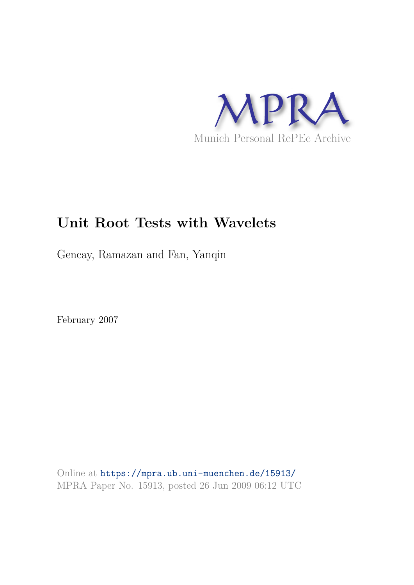

# **Unit Root Tests with Wavelets**

Gencay, Ramazan and Fan, Yanqin

February 2007

Online at https://mpra.ub.uni-muenchen.de/15913/ MPRA Paper No. 15913, posted 26 Jun 2009 06:12 UTC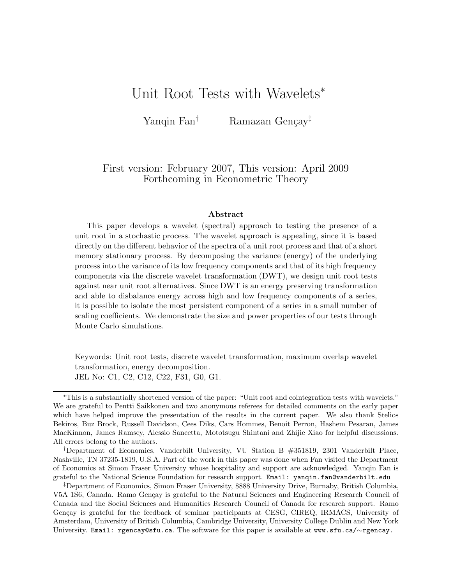# Unit Root Tests with Wavelets<sup>∗</sup>

Yanqin Fan<sup>†</sup> Ramazan Gençay<sup>‡</sup>

#### First version: February 2007, This version: April 2009 Forthcoming in Econometric Theory

#### Abstract

This paper develops a wavelet (spectral) approach to testing the presence of a unit root in a stochastic process. The wavelet approach is appealing, since it is based directly on the different behavior of the spectra of a unit root process and that of a short memory stationary process. By decomposing the variance (energy) of the underlying process into the variance of its low frequency components and that of its high frequency components via the discrete wavelet transformation (DWT), we design unit root tests against near unit root alternatives. Since DWT is an energy preserving transformation and able to disbalance energy across high and low frequency components of a series, it is possible to isolate the most persistent component of a series in a small number of scaling coefficients. We demonstrate the size and power properties of our tests through Monte Carlo simulations.

Keywords: Unit root tests, discrete wavelet transformation, maximum overlap wavelet transformation, energy decomposition. JEL No: C1, C2, C12, C22, F31, G0, G1.

<sup>∗</sup>This is a substantially shortened version of the paper: "Unit root and cointegration tests with wavelets." We are grateful to Pentti Saikkonen and two anonymous referees for detailed comments on the early paper which have helped improve the presentation of the results in the current paper. We also thank Stelios Bekiros, Buz Brock, Russell Davidson, Cees Diks, Cars Hommes, Benoit Perron, Hashem Pesaran, James MacKinnon, James Ramsey, Alessio Sancetta, Mototsugu Shintani and Zhijie Xiao for helpful discussions. All errors belong to the authors.

<sup>†</sup>Department of Economics, Vanderbilt University, VU Station B #351819, 2301 Vanderbilt Place, Nashville, TN 37235-1819, U.S.A. Part of the work in this paper was done when Fan visited the Department of Economics at Simon Fraser University whose hospitality and support are acknowledged. Yanqin Fan is grateful to the National Science Foundation for research support. Email: yanqin.fan@vanderbilt.edu

<sup>‡</sup>Department of Economics, Simon Fraser University, 8888 University Drive, Burnaby, British Columbia, V5A 1S6, Canada. Ramo Gençay is grateful to the Natural Sciences and Engineering Research Council of Canada and the Social Sciences and Humanities Research Council of Canada for research support. Ramo Gençay is grateful for the feedback of seminar participants at CESG, CIREQ, IRMACS, University of Amsterdam, University of British Columbia, Cambridge University, University College Dublin and New York University. Email: rgencay@sfu.ca. The software for this paper is available at www.sfu.ca/∼rgencay.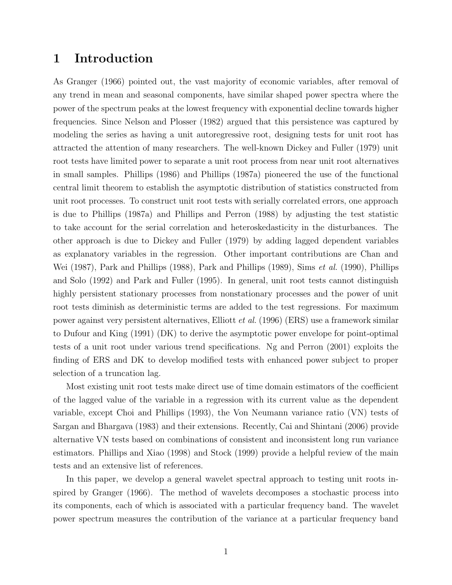### 1 Introduction

As Granger (1966) pointed out, the vast majority of economic variables, after removal of any trend in mean and seasonal components, have similar shaped power spectra where the power of the spectrum peaks at the lowest frequency with exponential decline towards higher frequencies. Since Nelson and Plosser (1982) argued that this persistence was captured by modeling the series as having a unit autoregressive root, designing tests for unit root has attracted the attention of many researchers. The well-known Dickey and Fuller (1979) unit root tests have limited power to separate a unit root process from near unit root alternatives in small samples. Phillips (1986) and Phillips (1987a) pioneered the use of the functional central limit theorem to establish the asymptotic distribution of statistics constructed from unit root processes. To construct unit root tests with serially correlated errors, one approach is due to Phillips (1987a) and Phillips and Perron (1988) by adjusting the test statistic to take account for the serial correlation and heteroskedasticity in the disturbances. The other approach is due to Dickey and Fuller (1979) by adding lagged dependent variables as explanatory variables in the regression. Other important contributions are Chan and Wei (1987), Park and Phillips (1988), Park and Phillips (1989), Sims *et al.* (1990), Phillips and Solo (1992) and Park and Fuller (1995). In general, unit root tests cannot distinguish highly persistent stationary processes from nonstationary processes and the power of unit root tests diminish as deterministic terms are added to the test regressions. For maximum power against very persistent alternatives, Elliott *et al.* (1996) (ERS) use a framework similar to Dufour and King (1991) (DK) to derive the asymptotic power envelope for point-optimal tests of a unit root under various trend specifications. Ng and Perron (2001) exploits the finding of ERS and DK to develop modified tests with enhanced power subject to proper selection of a truncation lag.

Most existing unit root tests make direct use of time domain estimators of the coefficient of the lagged value of the variable in a regression with its current value as the dependent variable, except Choi and Phillips (1993), the Von Neumann variance ratio (VN) tests of Sargan and Bhargava (1983) and their extensions. Recently, Cai and Shintani (2006) provide alternative VN tests based on combinations of consistent and inconsistent long run variance estimators. Phillips and Xiao (1998) and Stock (1999) provide a helpful review of the main tests and an extensive list of references.

In this paper, we develop a general wavelet spectral approach to testing unit roots inspired by Granger (1966). The method of wavelets decomposes a stochastic process into its components, each of which is associated with a particular frequency band. The wavelet power spectrum measures the contribution of the variance at a particular frequency band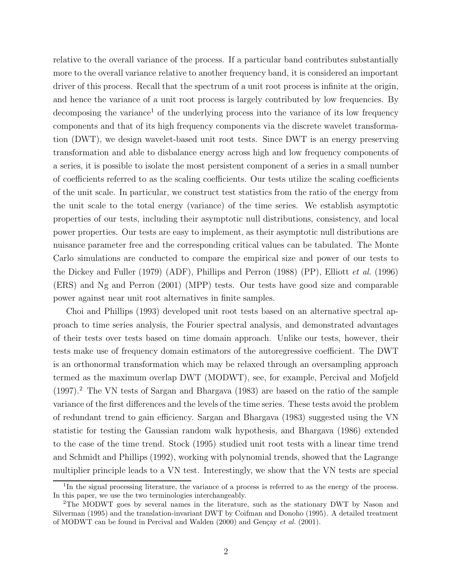relative to the overall variance of the process. If a particular band contributes substantially more to the overall variance relative to another frequency band, it is considered an important driver of this process. Recall that the spectrum of a unit root process is infinite at the origin, and hence the variance of a unit root process is largely contributed by low frequencies. By decomposing the variance<sup>1</sup> of the underlying process into the variance of its low frequency components and that of its high frequency components via the discrete wavelet transformation (DWT), we design wavelet-based unit root tests. Since DWT is an energy preserving transformation and able to disbalance energy across high and low frequency components of a series, it is possible to isolate the most persistent component of a series in a small number of coefficients referred to as the scaling coefficients. Our tests utilize the scaling coefficients of the unit scale. In particular, we construct test statistics from the ratio of the energy from the unit scale to the total energy (variance) of the time series. We establish asymptotic properties of our tests, including their asymptotic null distributions, consistency, and local power properties. Our tests are easy to implement, as their asymptotic null distributions are nuisance parameter free and the corresponding critical values can be tabulated. The Monte Carlo simulations are conducted to compare the empirical size and power of our tests to the Dickey and Fuller (1979) (ADF), Phillips and Perron (1988) (PP), Elliott *et al.* (1996) (ERS) and Ng and Perron (2001) (MPP) tests. Our tests have good size and comparable power against near unit root alternatives in finite samples.

Choi and Phillips (1993) developed unit root tests based on an alternative spectral approach to time series analysis, the Fourier spectral analysis, and demonstrated advantages of their tests over tests based on time domain approach. Unlike our tests, however, their tests make use of frequency domain estimators of the autoregressive coefficient. The DWT is an orthonormal transformation which may be relaxed through an oversampling approach termed as the maximum overlap DWT (MODWT), see, for example, Percival and Mofjeld  $(1997).<sup>2</sup>$  The VN tests of Sargan and Bhargava  $(1983)$  are based on the ratio of the sample variance of the first differences and the levels of the time series. These tests avoid the problem of redundant trend to gain efficiency. Sargan and Bhargava (1983) suggested using the VN statistic for testing the Gaussian random walk hypothesis, and Bhargava (1986) extended to the case of the time trend. Stock (1995) studied unit root tests with a linear time trend and Schmidt and Phillips (1992), working with polynomial trends, showed that the Lagrange multiplier principle leads to a VN test. Interestingly, we show that the VN tests are special

<sup>&</sup>lt;sup>1</sup>In the signal processing literature, the variance of a process is referred to as the energy of the process. In this paper, we use the two terminologies interchangeably.

<sup>2</sup>The MODWT goes by several names in the literature, such as the stationary DWT by Nason and Silverman (1995) and the translation-invariant DWT by Coifman and Donoho (1995). A detailed treatment of MODWT can be found in Percival and Walden  $(2000)$  and Gençay *et al.*  $(2001)$ .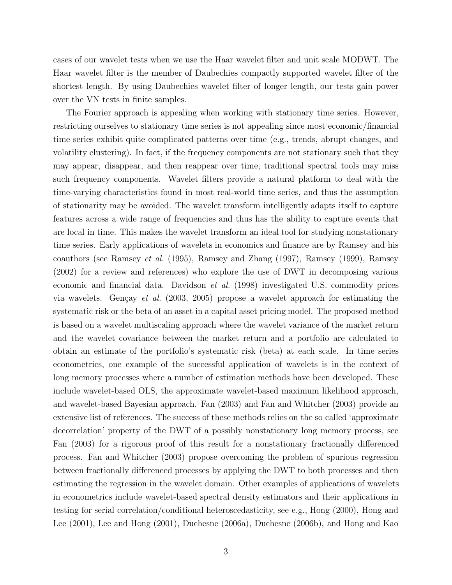cases of our wavelet tests when we use the Haar wavelet filter and unit scale MODWT. The Haar wavelet filter is the member of Daubechies compactly supported wavelet filter of the shortest length. By using Daubechies wavelet filter of longer length, our tests gain power over the VN tests in finite samples.

The Fourier approach is appealing when working with stationary time series. However, restricting ourselves to stationary time series is not appealing since most economic/financial time series exhibit quite complicated patterns over time (e.g., trends, abrupt changes, and volatility clustering). In fact, if the frequency components are not stationary such that they may appear, disappear, and then reappear over time, traditional spectral tools may miss such frequency components. Wavelet filters provide a natural platform to deal with the time-varying characteristics found in most real-world time series, and thus the assumption of stationarity may be avoided. The wavelet transform intelligently adapts itself to capture features across a wide range of frequencies and thus has the ability to capture events that are local in time. This makes the wavelet transform an ideal tool for studying nonstationary time series. Early applications of wavelets in economics and finance are by Ramsey and his coauthors (see Ramsey *et al.* (1995), Ramsey and Zhang (1997), Ramsey (1999), Ramsey (2002) for a review and references) who explore the use of DWT in decomposing various economic and financial data. Davidson *et al.* (1998) investigated U.S. commodity prices via wavelets. Gençay *et al.* (2003, 2005) propose a wavelet approach for estimating the systematic risk or the beta of an asset in a capital asset pricing model. The proposed method is based on a wavelet multiscaling approach where the wavelet variance of the market return and the wavelet covariance between the market return and a portfolio are calculated to obtain an estimate of the portfolio's systematic risk (beta) at each scale. In time series econometrics, one example of the successful application of wavelets is in the context of long memory processes where a number of estimation methods have been developed. These include wavelet-based OLS, the approximate wavelet-based maximum likelihood approach, and wavelet-based Bayesian approach. Fan (2003) and Fan and Whitcher (2003) provide an extensive list of references. The success of these methods relies on the so called 'approximate decorrelation' property of the DWT of a possibly nonstationary long memory process, see Fan (2003) for a rigorous proof of this result for a nonstationary fractionally differenced process. Fan and Whitcher (2003) propose overcoming the problem of spurious regression between fractionally differenced processes by applying the DWT to both processes and then estimating the regression in the wavelet domain. Other examples of applications of wavelets in econometrics include wavelet-based spectral density estimators and their applications in testing for serial correlation/conditional heteroscedasticity, see e.g., Hong (2000), Hong and Lee (2001), Lee and Hong (2001), Duchesne (2006a), Duchesne (2006b), and Hong and Kao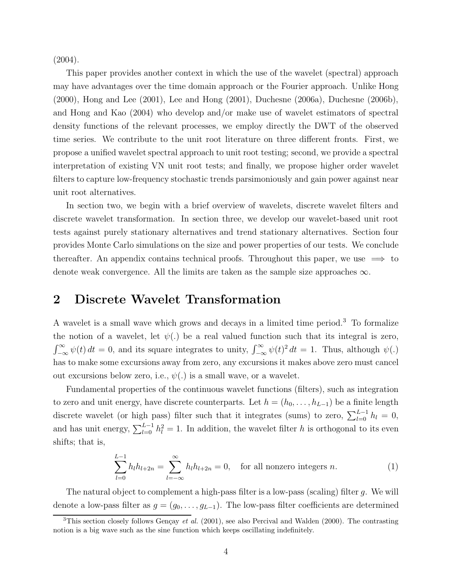$(2004).$ 

This paper provides another context in which the use of the wavelet (spectral) approach may have advantages over the time domain approach or the Fourier approach. Unlike Hong (2000), Hong and Lee (2001), Lee and Hong (2001), Duchesne (2006a), Duchesne (2006b), and Hong and Kao (2004) who develop and/or make use of wavelet estimators of spectral density functions of the relevant processes, we employ directly the DWT of the observed time series. We contribute to the unit root literature on three different fronts. First, we propose a unified wavelet spectral approach to unit root testing; second, we provide a spectral interpretation of existing VN unit root tests; and finally, we propose higher order wavelet filters to capture low-frequency stochastic trends parsimoniously and gain power against near unit root alternatives.

In section two, we begin with a brief overview of wavelets, discrete wavelet filters and discrete wavelet transformation. In section three, we develop our wavelet-based unit root tests against purely stationary alternatives and trend stationary alternatives. Section four provides Monte Carlo simulations on the size and power properties of our tests. We conclude thereafter. An appendix contains technical proofs. Throughout this paper, we use  $\implies$  to denote weak convergence. All the limits are taken as the sample size approaches  $\infty$ .

### 2 Discrete Wavelet Transformation

A wavelet is a small wave which grows and decays in a limited time period.<sup>3</sup> To formalize the notion of a wavelet, let  $\psi(.)$  be a real valued function such that its integral is zero,  $\int_{-\infty}^{\infty} \psi(t) dt = 0$ , and its square integrates to unity,  $\int_{-\infty}^{\infty} \psi(t)^2 dt = 1$ . Thus, although  $\psi(.)$ has to make some excursions away from zero, any excursions it makes above zero must cancel out excursions below zero, i.e.,  $\psi(.)$  is a small wave, or a wavelet.

Fundamental properties of the continuous wavelet functions (filters), such as integration to zero and unit energy, have discrete counterparts. Let  $h = (h_0, \ldots, h_{L-1})$  be a finite length discrete wavelet (or high pass) filter such that it integrates (sums) to zero,  $\sum_{l=0}^{L-1} h_l = 0$ , and has unit energy,  $\sum_{l=0}^{L-1} h_l^2 = 1$ . In addition, the wavelet filter h is orthogonal to its even shifts; that is,

$$
\sum_{l=0}^{L-1} h_l h_{l+2n} = \sum_{l=-\infty}^{\infty} h_l h_{l+2n} = 0, \text{ for all nonzero integers } n.
$$
 (1)

The natural object to complement a high-pass filter is a low-pass (scaling) filter  $g$ . We will denote a low-pass filter as  $g = (g_0, \ldots, g_{L-1})$ . The low-pass filter coefficients are determined

<sup>&</sup>lt;sup>3</sup>This section closely follows Gençay *et al.* (2001), see also Percival and Walden (2000). The contrasting notion is a big wave such as the sine function which keeps oscillating indefinitely.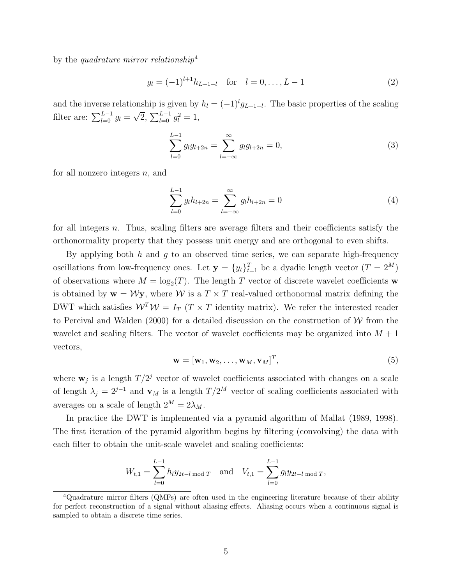by the *quadrature mirror relationship*<sup>4</sup>

$$
g_l = (-1)^{l+1} h_{L-1-l} \quad \text{for} \quad l = 0, \dots, L-1 \tag{2}
$$

and the inverse relationship is given by  $h_l = (-1)^l g_{L-1-l}$ . The basic properties of the scaling filter are:  $\sum_{l=0}^{L-1} g_l = \sqrt{2}, \sum_{l=0}^{L-1} g_l^2 = 1,$ 

$$
\sum_{l=0}^{L-1} g_l g_{l+2n} = \sum_{l=-\infty}^{\infty} g_l g_{l+2n} = 0,
$$
\n(3)

for all nonzero integers  $n$ , and

$$
\sum_{l=0}^{L-1} g_l h_{l+2n} = \sum_{l=-\infty}^{\infty} g_l h_{l+2n} = 0
$$
 (4)

for all integers n. Thus, scaling filters are average filters and their coefficients satisfy the orthonormality property that they possess unit energy and are orthogonal to even shifts.

By applying both h and g to an observed time series, we can separate high-frequency oscillations from low-frequency ones. Let  $\mathbf{y} = \{y_t\}_{t=1}^T$  be a dyadic length vector  $(T = 2^M)$ of observations where  $M = \log_2(T)$ . The length T vector of discrete wavelet coefficients w is obtained by  $\mathbf{w} = \mathcal{W}\mathbf{y}$ , where W is a  $T \times T$  real-valued orthonormal matrix defining the DWT which satisfies  $\mathcal{W}^T \mathcal{W} = I_T$  (T × T identity matrix). We refer the interested reader to Percival and Walden (2000) for a detailed discussion on the construction of  $W$  from the wavelet and scaling filters. The vector of wavelet coefficients may be organized into  $M + 1$ vectors,

$$
\mathbf{w} = [\mathbf{w}_1, \mathbf{w}_2, \dots, \mathbf{w}_M, \mathbf{v}_M]^T, \tag{5}
$$

where  $w_j$  is a length  $T/2^j$  vector of wavelet coefficients associated with changes on a scale of length  $\lambda_j = 2^{j-1}$  and  $\mathbf{v}_M$  is a length  $T/2^M$  vector of scaling coefficients associated with averages on a scale of length  $2^M=2\lambda_M.$ 

In practice the DWT is implemented via a pyramid algorithm of Mallat (1989, 1998). The first iteration of the pyramid algorithm begins by filtering (convolving) the data with each filter to obtain the unit-scale wavelet and scaling coefficients:

$$
W_{t,1} = \sum_{l=0}^{L-1} h_l y_{2t-l \bmod T} \text{ and } V_{t,1} = \sum_{l=0}^{L-1} g_l y_{2t-l \bmod T},
$$

<sup>4</sup>Quadrature mirror filters (QMFs) are often used in the engineering literature because of their ability for perfect reconstruction of a signal without aliasing effects. Aliasing occurs when a continuous signal is sampled to obtain a discrete time series.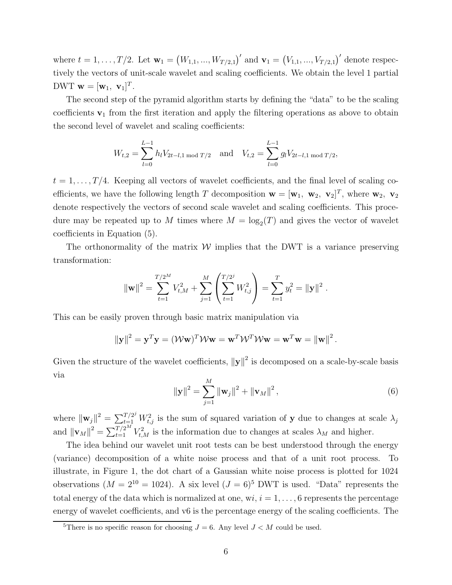where  $t = 1, ..., T/2$ . Let  $\mathbf{w}_1 = (W_{1,1}, ..., W_{T/2,1})'$  and  $\mathbf{v}_1 = (V_{1,1}, ..., V_{T/2,1})'$  denote respectively the vectors of unit-scale wavelet and scaling coefficients. We obtain the level 1 partial DWT  $\mathbf{w} = [\mathbf{w}_1, \mathbf{v}_1]^T$ .

The second step of the pyramid algorithm starts by defining the "data" to be the scaling coefficients  $v_1$  from the first iteration and apply the filtering operations as above to obtain the second level of wavelet and scaling coefficients:

$$
W_{t,2} = \sum_{l=0}^{L-1} h_l V_{2t-l,1 \bmod T/2} \text{ and } V_{t,2} = \sum_{l=0}^{L-1} g_l V_{2t-l,1 \bmod T/2},
$$

 $t = 1, \ldots, T/4$ . Keeping all vectors of wavelet coefficients, and the final level of scaling coefficients, we have the following length T decomposition  $\mathbf{w} = [\mathbf{w}_1, \mathbf{w}_2, \mathbf{v}_2]^T$ , where  $\mathbf{w}_2, \mathbf{v}_2$ denote respectively the vectors of second scale wavelet and scaling coefficients. This procedure may be repeated up to M times where  $M = \log_2(T)$  and gives the vector of wavelet coefficients in Equation (5).

The orthonormality of the matrix  $W$  implies that the DWT is a variance preserving transformation:

$$
\|\mathbf{w}\|^2 = \sum_{t=1}^{T/2^M} V_{t,M}^2 + \sum_{j=1}^M \left( \sum_{t=1}^{T/2^j} W_{t,j}^2 \right) = \sum_{t=1}^T y_t^2 = \|\mathbf{y}\|^2.
$$

This can be easily proven through basic matrix manipulation via

$$
\|\mathbf{y}\|^2 = \mathbf{y}^T \mathbf{y} = (\mathcal{W}\mathbf{w})^T \mathcal{W}\mathbf{w} = \mathbf{w}^T \mathcal{W}^T \mathcal{W}\mathbf{w} = \mathbf{w}^T \mathbf{w} = \|\mathbf{w}\|^2.
$$

Given the structure of the wavelet coefficients,  $||y||^2$  is decomposed on a scale-by-scale basis via

$$
\|\mathbf{y}\|^2 = \sum_{j=1}^M \|\mathbf{w}_j\|^2 + \|\mathbf{v}_M\|^2, \tag{6}
$$

where  $\|\mathbf{w}_j\|^2 = \sum_{t=1}^{T/2^j} W_{t,j}^2$  is the sum of squared variation of y due to changes at scale  $\lambda_j$ and  $\|\mathbf{v}_M\|^2 = \sum_{t=1}^{T/2^M} V_{t,M}^2$  is the information due to changes at scales  $\lambda_M$  and higher.

The idea behind our wavelet unit root tests can be best understood through the energy (variance) decomposition of a white noise process and that of a unit root process. To illustrate, in Figure 1, the dot chart of a Gaussian white noise process is plotted for 1024 observations  $(M = 2^{10} = 1024)$ . A six level  $(J = 6)^5$  DWT is used. "Data" represents the total energy of the data which is normalized at one, wi,  $i = 1, \ldots, 6$  represents the percentage energy of wavelet coefficients, and v6 is the percentage energy of the scaling coefficients. The

<sup>&</sup>lt;sup>5</sup>There is no specific reason for choosing  $J = 6$ . Any level  $J < M$  could be used.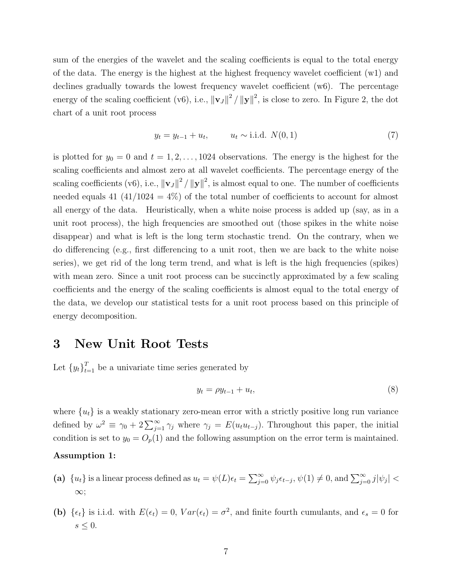sum of the energies of the wavelet and the scaling coefficients is equal to the total energy of the data. The energy is the highest at the highest frequency wavelet coefficient (w1) and declines gradually towards the lowest frequency wavelet coefficient (w6). The percentage energy of the scaling coefficient (v6), i.e.,  $\|\mathbf{v}_J\|^2 / \|\mathbf{y}\|^2$ , is close to zero. In Figure 2, the dot chart of a unit root process

$$
y_t = y_{t-1} + u_t, \qquad u_t \sim \text{i.i.d. } N(0, 1) \tag{7}
$$

is plotted for  $y_0 = 0$  and  $t = 1, 2, \ldots, 1024$  observations. The energy is the highest for the scaling coefficients and almost zero at all wavelet coefficients. The percentage energy of the scaling coefficients (v6), i.e.,  $\|\mathbf{v}_J\|^2 / \|\mathbf{y}\|^2$ , is almost equal to one. The number of coefficients needed equals 41 (41/1024 = 4%) of the total number of coefficients to account for almost all energy of the data. Heuristically, when a white noise process is added up (say, as in a unit root process), the high frequencies are smoothed out (those spikes in the white noise disappear) and what is left is the long term stochastic trend. On the contrary, when we do differencing (e.g., first differencing to a unit root, then we are back to the white noise series), we get rid of the long term trend, and what is left is the high frequencies (spikes) with mean zero. Since a unit root process can be succinctly approximated by a few scaling coefficients and the energy of the scaling coefficients is almost equal to the total energy of the data, we develop our statistical tests for a unit root process based on this principle of energy decomposition.

### 3 New Unit Root Tests

Let  $\{y_t\}_{t=1}^T$  be a univariate time series generated by

$$
y_t = \rho y_{t-1} + u_t,\tag{8}
$$

where  $\{u_t\}$  is a weakly stationary zero-mean error with a strictly positive long run variance defined by  $\omega^2 \equiv \gamma_0 + 2 \sum_{j=1}^{\infty} \gamma_j$  where  $\gamma_j = E(u_t u_{t-j})$ . Throughout this paper, the initial condition is set to  $y_0 = O_p(1)$  and the following assumption on the error term is maintained.

#### Assumption 1:

- (a)  $\{u_t\}$  is a linear process defined as  $u_t = \psi(L)\epsilon_t = \sum_{j=0}^{\infty} \psi_j \epsilon_{t-j}, \psi(1) \neq 0$ , and  $\sum_{j=0}^{\infty} j|\psi_j| <$ ∞;
- (b)  $\{\epsilon_t\}$  is i.i.d. with  $E(\epsilon_t) = 0$ ,  $Var(\epsilon_t) = \sigma^2$ , and finite fourth cumulants, and  $\epsilon_s = 0$  for  $s \leq 0$ .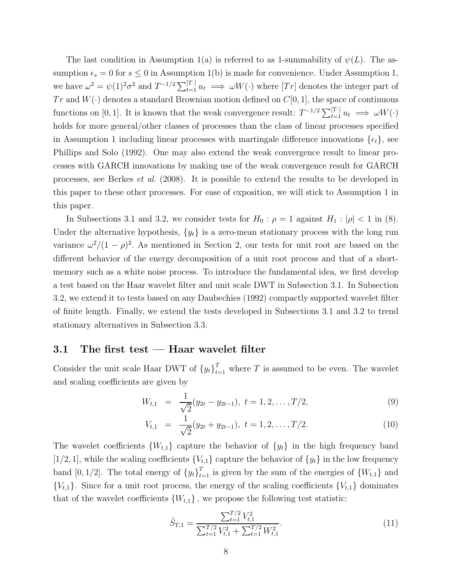The last condition in Assumption 1(a) is referred to as 1-summability of  $\psi(L)$ . The assumption  $\epsilon_s = 0$  for  $s \leq 0$  in Assumption 1(b) is made for convenience. Under Assumption 1, we have  $\omega^2 = \psi(1)^2 \sigma^2$  and  $T^{-1/2} \sum_{t=1}^{[T]} u_t \implies \omega W(\cdot)$  where  $[Tr]$  denotes the integer part of Tr and  $W(\cdot)$  denotes a standard Brownian motion defined on  $C[0, 1]$ , the space of continuous functions on [0, 1]. It is known that the weak convergence result:  $T^{-1/2} \sum_{t=1}^{[T]} u_t \implies \omega W(\cdot)$ holds for more general/other classes of processes than the class of linear processes specified in Assumption 1 including linear processes with martingale difference innovations  $\{\epsilon_t\}$ , see Phillips and Solo (1992). One may also extend the weak convergence result to linear processes with GARCH innovations by making use of the weak convergence result for GARCH processes, see Berkes *et al.* (2008). It is possible to extend the results to be developed in this paper to these other processes. For ease of exposition, we will stick to Assumption 1 in this paper.

In Subsections 3.1 and 3.2, we consider tests for  $H_0$ :  $\rho = 1$  against  $H_1$ :  $|\rho| < 1$  in (8). Under the alternative hypothesis,  $\{y_t\}$  is a zero-mean stationary process with the long run variance  $\omega^2/(1-\rho)^2$ . As mentioned in Section 2, our tests for unit root are based on the different behavior of the energy decomposition of a unit root process and that of a shortmemory such as a white noise process. To introduce the fundamental idea, we first develop a test based on the Haar wavelet filter and unit scale DWT in Subsection 3.1. In Subsection 3.2, we extend it to tests based on any Daubechies (1992) compactly supported wavelet filter of finite length. Finally, we extend the tests developed in Subsections 3.1 and 3.2 to trend stationary alternatives in Subsection 3.3.

#### 3.1 The first test — Haar wavelet filter

Consider the unit scale Haar DWT of  $\{y_t\}_{t=1}^T$  where T is assumed to be even. The wavelet and scaling coefficients are given by

$$
W_{t,1} = \frac{1}{\sqrt{2}}(y_{2t} - y_{2t-1}), \ t = 1, 2, \dots, T/2,
$$
\n(9)

$$
V_{t,1} = \frac{1}{\sqrt{2}}(y_{2t} + y_{2t-1}), \ t = 1, 2, \dots, T/2.
$$
 (10)

The wavelet coefficients  ${W_{t,1}}$  capture the behavior of  ${y_t}$  in the high frequency band [1/2, 1], while the scaling coefficients  ${V_{t,1}}$  capture the behavior of  ${y_t}$  in the low frequency band [0, 1/2]. The total energy of  $\{y_t\}_{t=1}^T$  is given by the sum of the energies of  $\{W_{t,1}\}\$  and  ${V_{t,1}}$ . Since for a unit root process, the energy of the scaling coefficients  ${V_{t,1}}$  dominates that of the wavelet coefficients  ${W_{t,1}}$ , we propose the following test statistic:

$$
\hat{S}_{T,1} = \frac{\sum_{t=1}^{T/2} V_{t,1}^2}{\sum_{t=1}^{T/2} V_{t,1}^2 + \sum_{t=1}^{T/2} W_{t,1}^2}.
$$
\n(11)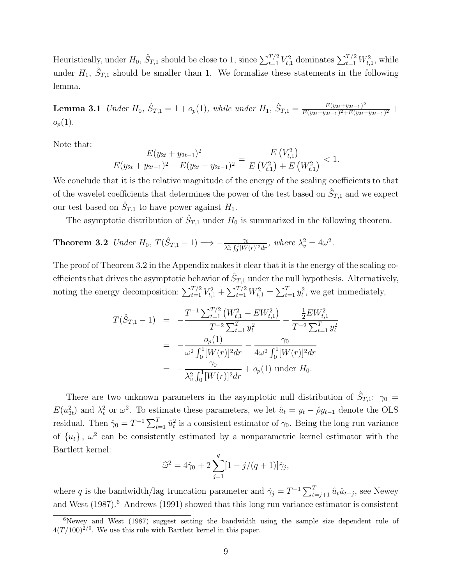Heuristically, under  $H_0$ ,  $\hat{S}_{T,1}$  should be close to 1, since  $\sum_{t=1}^{T/2} V_{t,1}^2$  dominates  $\sum_{t=1}^{T/2} W_{t,1}^2$ , while under  $H_1$ ,  $\hat{S}_{T,1}$  should be smaller than 1. We formalize these statements in the following lemma.

**Lemma 3.1** *Under*  $H_0$ ,  $\hat{S}_{T,1} = 1 + o_p(1)$ , while under  $H_1$ ,  $\hat{S}_{T,1} = \frac{E(y_{2t} + y_{2t-1})^2}{E(y_{2t} + y_{2t-1})^2 + E(y_{2t} + y_{2t-1})^2}$  $E(y_{2t}+y_{2t-1})^2$  +  $E(y_{2t}+y_{2t-1})^2+E(y_{2t}-y_{2t-1})^2$  +  $o_p(1)$ .

Note that:

$$
\frac{E(y_{2t} + y_{2t-1})^2}{E(y_{2t} + y_{2t-1})^2 + E(y_{2t} - y_{2t-1})^2} = \frac{E\left(V_{t,1}^2\right)}{E\left(V_{t,1}^2\right) + E\left(W_{t,1}^2\right)} < 1.
$$

We conclude that it is the relative magnitude of the energy of the scaling coefficients to that of the wavelet coefficients that determines the power of the test based on  $\hat{S}_{T,1}$  and we expect our test based on  $\hat{S}_{T,1}$  to have power against  $H_1$ .

The asymptotic distribution of  $\hat{S}_{T,1}$  under  $H_0$  is summarized in the following theorem.

**Theorem 3.2** *Under*  $H_0$ ,  $T(\hat{S}_{T,1} - 1) \Longrightarrow -\frac{\gamma_0}{\lambda_v^2 \int_0^1 [W(r)]^2 dr}$ , where  $\lambda_v^2 = 4\omega^2$ .

The proof of Theorem 3.2 in the Appendix makes it clear that it is the energy of the scaling coefficients that drives the asymptotic behavior of  $\hat{S}_{T,1}$  under the null hypothesis. Alternatively, noting the energy decomposition:  $\sum_{t=1}^{T/2} V_{t,1}^2 + \sum_{t=1}^{T/2} W_{t,1}^2 = \sum_{t=1}^{T} y_t^2$ , we get immediately,

$$
T(\hat{S}_{T,1} - 1) = -\frac{T^{-1} \sum_{t=1}^{T/2} (W_{t,1}^2 - EW_{t,1}^2)}{T^{-2} \sum_{t=1}^T y_t^2} - \frac{\frac{1}{2} EW_{t,1}^2}{T^{-2} \sum_{t=1}^T y_t^2}
$$
  
= 
$$
-\frac{o_p(1)}{\omega^2 \int_0^1 [W(r)]^2 dr} - \frac{\gamma_0}{4\omega^2 \int_0^1 [W(r)]^2 dr}
$$
  
= 
$$
-\frac{\gamma_0}{\lambda_v^2 \int_0^1 [W(r)]^2 dr} + o_p(1) \text{ under } H_0.
$$

There are two unknown parameters in the asymptotic null distribution of  $\hat{S}_{T,1}$ :  $\gamma_0$  =  $E(u_{2t}^2)$  and  $\lambda_v^2$  or  $\omega^2$ . To estimate these parameters, we let  $\hat{u}_t = y_t - \hat{\rho}y_{t-1}$  denote the OLS residual. Then  $\hat{\gamma}_0 = T^{-1} \sum_{t=1}^T \hat{u}_t^2$  is a consistent estimator of  $\gamma_0$ . Being the long run variance of  $\{u_t\}$ ,  $\omega^2$  can be consistently estimated by a nonparametric kernel estimator with the Bartlett kernel:

$$
\widehat{\omega}^2 = 4\hat{\gamma}_0 + 2\sum_{j=1}^q [1 - j/(q+1)]\hat{\gamma}_j,
$$

where q is the bandwidth/lag truncation parameter and  $\hat{\gamma}_j = T^{-1} \sum_{t=j+1}^T \hat{u}_t \hat{u}_{t-j}$ , see Newey and West (1987).<sup>6</sup> Andrews (1991) showed that this long run variance estimator is consistent

 $6$ Newey and West (1987) suggest setting the bandwidth using the sample size dependent rule of  $4(T/100)^{2/9}$ . We use this rule with Bartlett kernel in this paper.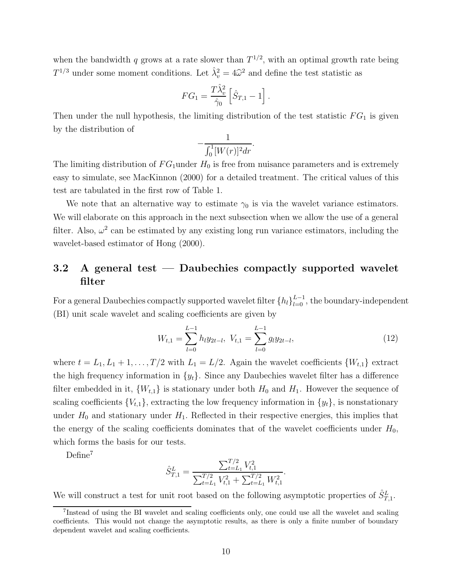when the bandwidth q grows at a rate slower than  $T^{1/2}$ , with an optimal growth rate being  $T^{1/3}$  under some moment conditions. Let  $\hat{\lambda}_v^2 = 4\hat{\omega}^2$  and define the test statistic as

$$
FG_1 = \frac{T\hat{\lambda}_v^2}{\hat{\gamma}_0} \left[ \hat{S}_{T,1} - 1 \right].
$$

Then under the null hypothesis, the limiting distribution of the test statistic  $FG_1$  is given by the distribution of

$$
-\frac{1}{\int_0^1 [W(r)]^2 dr}
$$

.

The limiting distribution of  $FG_1$ under  $H_0$  is free from nuisance parameters and is extremely easy to simulate, see MacKinnon (2000) for a detailed treatment. The critical values of this test are tabulated in the first row of Table 1.

We note that an alternative way to estimate  $\gamma_0$  is via the wavelet variance estimators. We will elaborate on this approach in the next subsection when we allow the use of a general filter. Also,  $\omega^2$  can be estimated by any existing long run variance estimators, including the wavelet-based estimator of Hong (2000).

### 3.2 A general test — Daubechies compactly supported wavelet filter

For a general Daubechies compactly supported wavelet filter  $\{h_l\}_{l=0}^{L-1}$ , the boundary-independent (BI) unit scale wavelet and scaling coefficients are given by

$$
W_{t,1} = \sum_{l=0}^{L-1} h_l y_{2t-l}, \ V_{t,1} = \sum_{l=0}^{L-1} g_l y_{2t-l}, \tag{12}
$$

.

where  $t = L_1, L_1 + 1, \ldots, T/2$  with  $L_1 = L/2$ . Again the wavelet coefficients  $\{W_{t,1}\}$  extract the high frequency information in  $\{y_t\}$ . Since any Daubechies wavelet filter has a difference filter embedded in it,  $\{W_{t,1}\}\$ is stationary under both  $H_0$  and  $H_1$ . However the sequence of scaling coefficients  ${V_{t,1}}$ , extracting the low frequency information in  ${y_t}$ , is nonstationary under  $H_0$  and stationary under  $H_1$ . Reflected in their respective energies, this implies that the energy of the scaling coefficients dominates that of the wavelet coefficients under  $H_0$ , which forms the basis for our tests.

Define<sup>7</sup>

$$
\hat{S}_{T,1}^{L} = \frac{\sum_{t=L_1}^{T/2} V_{t,1}^2}{\sum_{t=L_1}^{T/2} V_{t,1}^2 + \sum_{t=L_1}^{T/2} W_{t,1}^2}
$$

We will construct a test for unit root based on the following asymptotic properties of  $\hat{S}_{T,1}^L$ .

<sup>7</sup> Instead of using the BI wavelet and scaling coefficients only, one could use all the wavelet and scaling coefficients. This would not change the asymptotic results, as there is only a finite number of boundary dependent wavelet and scaling coefficients.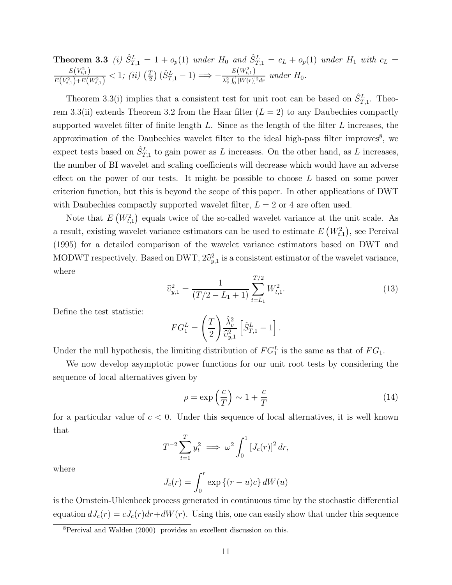**Theorem 3.3** (i)  $\hat{S}_{T,1}^L = 1 + o_p(1)$  *under*  $H_0$  *and*  $\hat{S}_{T,1}^L = c_L + o_p(1)$  *under*  $H_1$  *with*  $c_L =$  $E(V_{t,1}^2)$  $\frac{E(V_{t,1}^2)}{E(V_{t,1}^2)+E(W_{t,1}^2)} < 1$ ; (ii)  $\left(\frac{T}{2}\right)$  $\frac{dE}{dt}(\hat{S}_{T,1}^L-1)\Longrightarrow-\frac{E\left(W_{t,1}^2\right)}{\lambda_n^2\int_0^1[W(r)]}$  $\frac{E(W_{t,1})}{\lambda_v^2 \int_0^1 [W(r)]^2 dr}$  under  $H_0$ .

Theorem 3.3(i) implies that a consistent test for unit root can be based on  $\hat{S}_{T,1}^L$ . Theorem 3.3(ii) extends Theorem 3.2 from the Haar filter  $(L = 2)$  to any Daubechies compactly supported wavelet filter of finite length  $L$ . Since as the length of the filter  $L$  increases, the approximation of the Daubechies wavelet filter to the ideal high-pass filter improves<sup>8</sup>, we expect tests based on  $\hat{S}_{T,1}^L$  to gain power as L increases. On the other hand, as L increases, the number of BI wavelet and scaling coefficients will decrease which would have an adverse effect on the power of our tests. It might be possible to choose  $L$  based on some power criterion function, but this is beyond the scope of this paper. In other applications of DWT with Daubechies compactly supported wavelet filter,  $L = 2$  or 4 are often used.

Note that  $E(W_{t,1}^2)$  equals twice of the so-called wavelet variance at the unit scale. As a result, existing wavelet variance estimators can be used to estimate  $E(W_{t,1}^2)$ , see Percival (1995) for a detailed comparison of the wavelet variance estimators based on DWT and MODWT respectively. Based on DWT,  $2\hat{v}_{y,1}^2$  is a consistent estimator of the wavelet variance, where

$$
\widehat{\nu}_{y,1}^2 = \frac{1}{(T/2 - L_1 + 1)} \sum_{t=L_1}^{T/2} W_{t,1}^2.
$$
\n(13)

Define the test statistic:

$$
FG_1^L = \left(\frac{T}{2}\right) \frac{\hat{\lambda}_v^2}{\hat{v}_{y,1}^2} \left[\hat{S}_{T,1}^L - 1\right].
$$

Under the null hypothesis, the limiting distribution of  $FG_1^L$  is the same as that of  $FG_1$ .

We now develop asymptotic power functions for our unit root tests by considering the sequence of local alternatives given by

$$
\rho = \exp\left(\frac{c}{T}\right) \sim 1 + \frac{c}{T} \tag{14}
$$

for a particular value of  $c < 0$ . Under this sequence of local alternatives, it is well known that

$$
T^{-2} \sum_{t=1}^{T} y_t^2 \implies \omega^2 \int_0^1 \left[ J_c(r) \right]^2 dr,
$$

where

$$
J_c(r) = \int_0^r \exp\left\{(r-u)c\right\} dW(u)
$$

is the Ornstein-Uhlenbeck process generated in continuous time by the stochastic differential equation  $dJ_c(r) = cJ_c(r)dr + dW(r)$ . Using this, one can easily show that under this sequence

 ${}^{8}$ Percival and Walden (2000) provides an excellent discussion on this.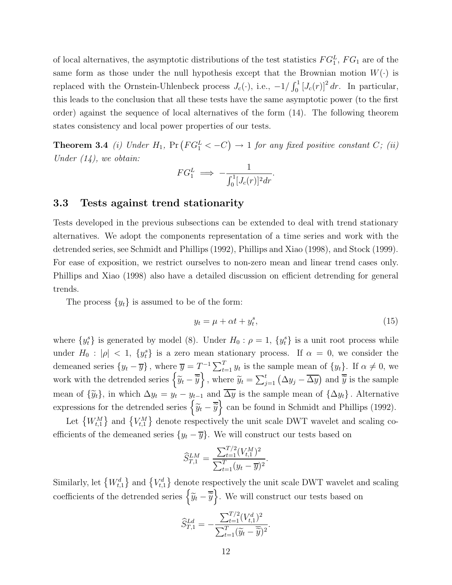of local alternatives, the asymptotic distributions of the test statistics  $FG_1^L$ ,  $FG_1$  are of the same form as those under the null hypothesis except that the Brownian motion  $W(\cdot)$  is replaced with the Ornstein-Uhlenbeck process  $J_c(\cdot)$ , i.e.,  $-1/\int_0^1 [J_c(r)]^2 dr$ . In particular, this leads to the conclusion that all these tests have the same asymptotic power (to the first order) against the sequence of local alternatives of the form (14). The following theorem states consistency and local power properties of our tests.

**Theorem 3.4** (i) Under  $H_1$ ,  $Pr(FG_1^L < -C) \rightarrow 1$  for any fixed positive constant  $C$ ; (ii) *Under (14), we obtain:*

$$
FG_1^L \implies -\frac{1}{\int_0^1 [J_c(r)]^2 dr}.
$$

#### 3.3 Tests against trend stationarity

Tests developed in the previous subsections can be extended to deal with trend stationary alternatives. We adopt the components representation of a time series and work with the detrended series, see Schmidt and Phillips (1992), Phillips and Xiao (1998), and Stock (1999). For ease of exposition, we restrict ourselves to non-zero mean and linear trend cases only. Phillips and Xiao (1998) also have a detailed discussion on efficient detrending for general trends.

The process  $\{y_t\}$  is assumed to be of the form:

$$
y_t = \mu + \alpha t + y_t^s,\tag{15}
$$

where  $\{y_t^s\}$  is generated by model (8). Under  $H_0: \rho = 1, \{y_t^s\}$  is a unit root process while under  $H_0: |\rho| < 1$ ,  $\{y_t^s\}$  is a zero mean stationary process. If  $\alpha = 0$ , we consider the demeaned series  $\{y_t - \overline{y}\}\$ , where  $\overline{y} = T^{-1} \sum_{t=1}^T y_t$  is the sample mean of  $\{y_t\}$ . If  $\alpha \neq 0$ , we work with the detrended series  $\left\{ \widetilde{y}_t - \overline{\widetilde{y}} \right\}$ , where  $\widetilde{y}_t = \sum_{j=1}^t \left( \Delta y_j - \overline{\Delta y} \right)$  and  $\overline{\widetilde{y}}$  is the sample mean of  $\{\widetilde{y}_t\}$ , in which  $\Delta y_t = y_t - y_{t-1}$  and  $\overline{\Delta y}$  is the sample mean of  $\{\Delta y_t\}$ . Alternative expressions for the detrended series  $\left\{\widetilde{y}_t - \overline{\widetilde{y}}\right\}$  can be found in Schmidt and Phillips (1992).

Let  $\{W_{t,1}^M\}$  and  $\{V_{t,1}^M\}$  denote respectively the unit scale DWT wavelet and scaling coefficients of the demeaned series  $\{y_t - \overline{y}\}\$ . We will construct our tests based on

$$
\widehat{S}_{T,1}^{LM} = \frac{\sum_{t=1}^{T/2} (V_{t,1}^M)^2}{\sum_{t=1}^{T} (y_t - \overline{y})^2}.
$$

Similarly, let  $\{W_{t,1}^d\}$  and  $\{V_{t,1}^d\}$  denote respectively the unit scale DWT wavelet and scaling coefficients of the detrended series  $\left\{ \widetilde{y}_t - \overline{\widetilde{y}} \right\}$ . We will construct our tests based on

$$
\widehat{S}_{T,1}^{Ld} = -\frac{\sum_{t=1}^{T/2} (V_{t,1}^d)^2}{\sum_{t=1}^{T} (\widetilde{y}_t - \overline{\widetilde{y}})^2}.
$$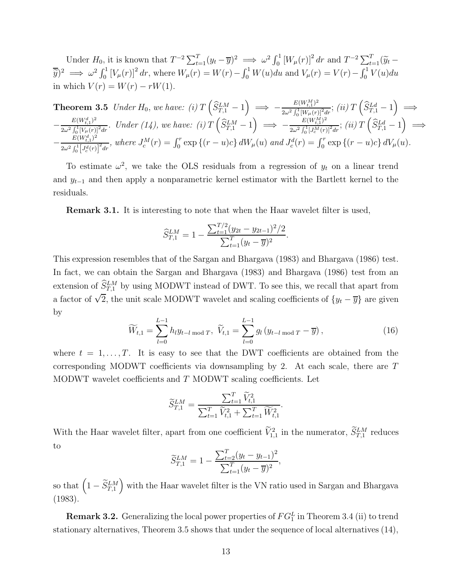Under  $H_0$ , it is known that  $T^{-2} \sum_{t=1}^T (y_t - \overline{y})^2 \implies \omega^2 \int_0^1 [W_\mu(r)]^2 dr$  and  $T^{-2} \sum_{t=1}^T (\widetilde{y}_t - \overline{y}_t)$  $\overline{\hat{y}})^2 \implies \omega^2 \int_0^1 [V_\mu(r)]^2 dr$ , where  $W_\mu(r) = W(r) - \int_0^1 W(u) du$  and  $V_\mu(r) = V(r) - \int_0^1 V(u) du$ in which  $V(r) = W(r) - rW(1)$ .

**Theorem 3.5** Under 
$$
H_0
$$
, we have: (i)  $T\left(\hat{S}_{T,1}^{LM} - 1\right) \implies -\frac{E(W_{t,1}^M)^2}{2\omega^2 \int_0^1 [W_\mu(r)]^2 dr}$ ; (ii)  $T\left(\hat{S}_{T,1}^{Ld} - 1\right) \implies -\frac{E(W_{t,1}^d)^2}{2\omega^2 \int_0^1 [V_\mu(r)]^2 dr}$ . Under (14), we have: (i)  $T\left(\hat{S}_{T,1}^{LM} - 1\right) \implies -\frac{E(W_{t,1}^M)^2}{2\omega^2 \int_0^1 [J_c^M(r)]^2 dr}$ ; (ii)  $T\left(\hat{S}_{T,1}^{Ld} - 1\right) \implies -\frac{E(W_{t,1}^d)^2}{2\omega^2 \int_0^1 [J_c^M(r)]^2 dr}$ , where  $J_c^M(r) = \int_0^r \exp\left\{(r-u)c\right\} dW_\mu(u)$  and  $J_c^d(r) = \int_0^r \exp\left\{(r-u)c\right\} dV_\mu(u)$ .

To estimate  $\omega^2$ , we take the OLS residuals from a regression of  $y_t$  on a linear trend and  $y_{t-1}$  and then apply a nonparametric kernel estimator with the Bartlett kernel to the residuals.

**Remark 3.1.** It is interesting to note that when the Haar wavelet filter is used,

$$
\widehat{S}_{T,1}^{LM} = 1 - \frac{\sum_{t=1}^{T/2} (y_{2t} - y_{2t-1})^2/2}{\sum_{t=1}^{T} (y_t - \overline{y})^2}.
$$

This expression resembles that of the Sargan and Bhargava (1983) and Bhargava (1986) test. In fact, we can obtain the Sargan and Bhargava (1983) and Bhargava (1986) test from an extension of  $S_{T,1}^{LM}$  by using MODWT instead of DWT. To see this, we recall that apart from a factor of  $\sqrt{2}$ , the unit scale MODWT wavelet and scaling coefficients of  $\{y_t - \overline{y}\}$  are given by

$$
\widetilde{W}_{t,1} = \sum_{l=0}^{L-1} h_l y_{t-l \bmod T}, \ \widetilde{V}_{t,1} = \sum_{l=0}^{L-1} g_l (y_{t-l \bmod T} - \overline{y}), \tag{16}
$$

where  $t = 1, \ldots, T$ . It is easy to see that the DWT coefficients are obtained from the corresponding MODWT coefficients via downsampling by 2. At each scale, there are T MODWT wavelet coefficients and T MODWT scaling coefficients. Let

$$
\widetilde{S}_{T,1}^{LM} = \frac{\sum_{t=1}^{T} \widetilde{V}_{t,1}^2}{\sum_{t=1}^{T} \widetilde{V}_{t,1}^2 + \sum_{t=1}^{T} \widetilde{W}_{t,1}^2}.
$$

With the Haar wavelet filter, apart from one coefficient  $\tilde{V}_{1,1}^2$  in the numerator,  $\tilde{S}_{T,1}^{LM}$  reduces to

$$
\widetilde{S}_{T,1}^{LM} = 1 - \frac{\sum_{t=2}^{T} (y_t - y_{t-1})^2}{\sum_{t=1}^{T} (y_t - \overline{y})^2},
$$

so that  $\left(1 - \widetilde{S}_{T,1}^{LM}\right)$  with the Haar wavelet filter is the VN ratio used in Sargan and Bhargava (1983).

**Remark 3.2.** Generalizing the local power properties of  $FG_1^L$  in Theorem 3.4 (ii) to trend stationary alternatives, Theorem 3.5 shows that under the sequence of local alternatives (14),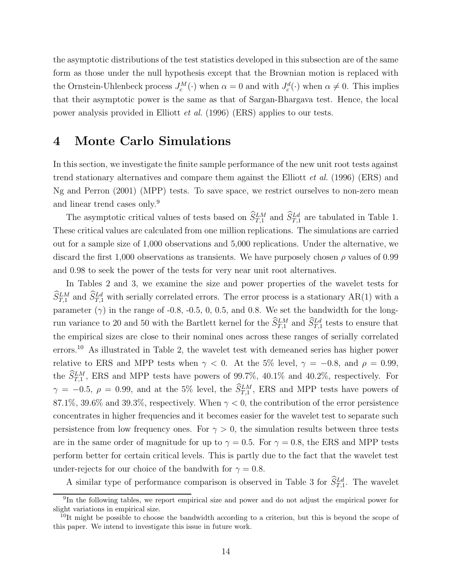the asymptotic distributions of the test statistics developed in this subsection are of the same form as those under the null hypothesis except that the Brownian motion is replaced with the Ornstein-Uhlenbeck process  $J_c^M(\cdot)$  when  $\alpha = 0$  and with  $J_c^d(\cdot)$  when  $\alpha \neq 0$ . This implies that their asymptotic power is the same as that of Sargan-Bhargava test. Hence, the local power analysis provided in Elliott *et al.* (1996) (ERS) applies to our tests.

### 4 Monte Carlo Simulations

In this section, we investigate the finite sample performance of the new unit root tests against trend stationary alternatives and compare them against the Elliott *et al.* (1996) (ERS) and Ng and Perron (2001) (MPP) tests. To save space, we restrict ourselves to non-zero mean and linear trend cases only.<sup>9</sup>

The asymptotic critical values of tests based on  $\tilde{S}_{T,1}^{LM}$  and  $\tilde{S}_{T,1}^{Ld}$  are tabulated in Table 1. These critical values are calculated from one million replications. The simulations are carried out for a sample size of 1,000 observations and 5,000 replications. Under the alternative, we discard the first 1,000 observations as transients. We have purposely chosen  $\rho$  values of 0.99 and 0.98 to seek the power of the tests for very near unit root alternatives.

In Tables 2 and 3, we examine the size and power properties of the wavelet tests for  $S_{T,1}^{LM}$  and  $S_{T,1}^{Ld}$  with serially correlated errors. The error process is a stationary AR(1) with a parameter  $(\gamma)$  in the range of -0.8, -0.5, 0, 0.5, and 0.8. We set the bandwidth for the longrun variance to 20 and 50 with the Bartlett kernel for the  $\tilde{S}_{T,1}^{LM}$  and  $\tilde{S}_{T,1}^{Ld}$  tests to ensure that the empirical sizes are close to their nominal ones across these ranges of serially correlated errors.<sup>10</sup> As illustrated in Table 2, the wavelet test with demeaned series has higher power relative to ERS and MPP tests when  $\gamma < 0$ . At the 5% level,  $\gamma = -0.8$ , and  $\rho = 0.99$ , the  $\hat{S}_{T,1}^{LM}$ , ERS and MPP tests have powers of 99.7%, 40.1% and 40.2%, respectively. For  $\gamma = -0.5, \ \rho = 0.99$ , and at the 5% level, the  $S_{T,1}^{LM}$ , ERS and MPP tests have powers of 87.1%, 39.6% and 39.3%, respectively. When  $\gamma < 0$ , the contribution of the error persistence concentrates in higher frequencies and it becomes easier for the wavelet test to separate such persistence from low frequency ones. For  $\gamma > 0$ , the simulation results between three tests are in the same order of magnitude for up to  $\gamma = 0.5$ . For  $\gamma = 0.8$ , the ERS and MPP tests perform better for certain critical levels. This is partly due to the fact that the wavelet test under-rejects for our choice of the bandwith for  $\gamma = 0.8$ .

A similar type of performance comparison is observed in Table 3 for  $S_{T,1}^{Ld}$ . The wavelet

<sup>&</sup>lt;sup>9</sup>In the following tables, we report empirical size and power and do not adjust the empirical power for slight variations in empirical size.

 $10$ It might be possible to choose the bandwidth according to a criterion, but this is beyond the scope of this paper. We intend to investigate this issue in future work.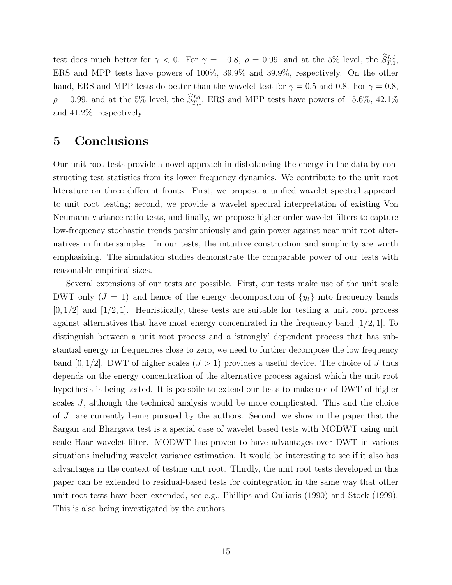test does much better for  $\gamma < 0$ . For  $\gamma = -0.8$ ,  $\rho = 0.99$ , and at the 5% level, the  $S_{T,1}^{Ld}$ , ERS and MPP tests have powers of 100%, 39.9% and 39.9%, respectively. On the other hand, ERS and MPP tests do better than the wavelet test for  $\gamma = 0.5$  and 0.8. For  $\gamma = 0.8$ ,  $\rho = 0.99$ , and at the 5% level, the  $\hat{S}_{T,1}^{Ld}$ , ERS and MPP tests have powers of 15.6%, 42.1% and 41.2%, respectively.

### 5 Conclusions

Our unit root tests provide a novel approach in disbalancing the energy in the data by constructing test statistics from its lower frequency dynamics. We contribute to the unit root literature on three different fronts. First, we propose a unified wavelet spectral approach to unit root testing; second, we provide a wavelet spectral interpretation of existing Von Neumann variance ratio tests, and finally, we propose higher order wavelet filters to capture low-frequency stochastic trends parsimoniously and gain power against near unit root alternatives in finite samples. In our tests, the intuitive construction and simplicity are worth emphasizing. The simulation studies demonstrate the comparable power of our tests with reasonable empirical sizes.

Several extensions of our tests are possible. First, our tests make use of the unit scale DWT only  $(J = 1)$  and hence of the energy decomposition of  $\{y_t\}$  into frequency bands  $[0, 1/2]$  and  $[1/2, 1]$ . Heuristically, these tests are suitable for testing a unit root process against alternatives that have most energy concentrated in the frequency band  $[1/2, 1]$ . To distinguish between a unit root process and a 'strongly' dependent process that has substantial energy in frequencies close to zero, we need to further decompose the low frequency band [0, 1/2]. DWT of higher scales  $(J > 1)$  provides a useful device. The choice of J thus depends on the energy concentration of the alternative process against which the unit root hypothesis is being tested. It is possbile to extend our tests to make use of DWT of higher scales J, although the technical analysis would be more complicated. This and the choice of J are currently being pursued by the authors. Second, we show in the paper that the Sargan and Bhargava test is a special case of wavelet based tests with MODWT using unit scale Haar wavelet filter. MODWT has proven to have advantages over DWT in various situations including wavelet variance estimation. It would be interesting to see if it also has advantages in the context of testing unit root. Thirdly, the unit root tests developed in this paper can be extended to residual-based tests for cointegration in the same way that other unit root tests have been extended, see e.g., Phillips and Ouliaris (1990) and Stock (1999). This is also being investigated by the authors.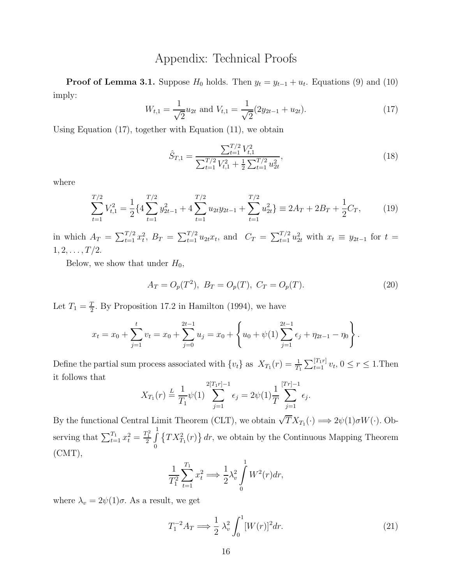## Appendix: Technical Proofs

**Proof of Lemma 3.1.** Suppose  $H_0$  holds. Then  $y_t = y_{t-1} + u_t$ . Equations (9) and (10) imply:

$$
W_{t,1} = \frac{1}{\sqrt{2}} u_{2t} \text{ and } V_{t,1} = \frac{1}{\sqrt{2}} (2y_{2t-1} + u_{2t}).
$$
 (17)

Using Equation (17), together with Equation (11), we obtain

$$
\hat{S}_{T,1} = \frac{\sum_{t=1}^{T/2} V_{t,1}^2}{\sum_{t=1}^{T/2} V_{t,1}^2 + \frac{1}{2} \sum_{t=1}^{T/2} u_{2t}^2},\tag{18}
$$

where

$$
\sum_{t=1}^{T/2} V_{t,1}^2 = \frac{1}{2} \{ 4 \sum_{t=1}^{T/2} y_{2t-1}^2 + 4 \sum_{t=1}^{T/2} u_{2t} y_{2t-1} + \sum_{t=1}^{T/2} u_{2t}^2 \} \equiv 2A_T + 2B_T + \frac{1}{2}C_T, \tag{19}
$$

in which  $A_T = \sum_{t=1}^{T/2} x_t^2$ ,  $B_T = \sum_{t=1}^{T/2} u_{2t} x_t$ , and  $C_T = \sum_{t=1}^{T/2} u_{2t}^2$  with  $x_t \equiv y_{2t-1}$  for  $t =$  $1, 2, \ldots, T/2.$ 

Below, we show that under  $H_0$ ,

$$
A_T = O_p(T^2), B_T = O_p(T), C_T = O_p(T). \tag{20}
$$

Let  $T_1 = \frac{T}{2}$ . By Proposition 17.2 in Hamilton (1994), we have

$$
x_t = x_0 + \sum_{j=1}^t v_t = x_0 + \sum_{j=0}^{2t-1} u_j = x_0 + \left\{ u_0 + \psi(1) \sum_{j=1}^{2t-1} \epsilon_j + \eta_{2t-1} - \eta_0 \right\}.
$$

Define the partial sum process associated with  $\{v_t\}$  as  $X_{T_1}(r) = \frac{1}{T_1} \sum_{t=1}^{[T_1 r]} v_t, 0 \le r \le 1$ . Then it follows that

$$
X_{T_1}(r) \stackrel{L}{=} \frac{1}{T_1} \psi(1) \sum_{j=1}^{2[T_1 r]-1} \epsilon_j = 2\psi(1) \frac{1}{T} \sum_{j=1}^{[Tr]-1} \epsilon_j.
$$

By the functional Central Limit Theorem (CLT), we obtain  $\sqrt{T}X_{T_1}(\cdot) \Longrightarrow 2\psi(1)\sigma W(\cdot)$ . Observing that  $\sum_{t=1}^{T_1} x_t^2 = \frac{T_1^2}{2} \int$ 0  $\{TX_{T_1}^2(r)\}\,dr$ , we obtain by the Continuous Mapping Theorem (CMT),

$$
\frac{1}{T_1^2} \sum_{t=1}^{T_1} x_t^2 \Longrightarrow \frac{1}{2} \lambda_v^2 \int_0^1 W^2(r) dr,
$$

where  $\lambda_v = 2\psi(1)\sigma$ . As a result, we get

$$
T_1^{-2}A_T \Longrightarrow \frac{1}{2} \lambda_v^2 \int_0^1 [W(r)]^2 dr. \tag{21}
$$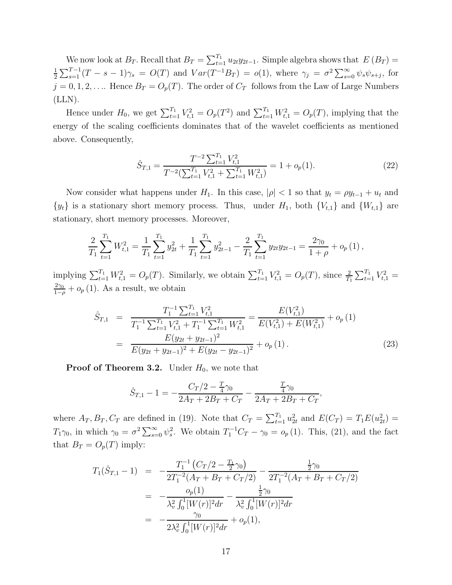We now look at  $B_T$ . Recall that  $B_T = \sum_{t=1}^{T_1} u_{2t}y_{2t-1}$ . Simple algebra shows that  $E(B_T)$ 1  $\frac{1}{2}\sum_{s=1}^{T-1}(T-s-1)\gamma_s = O(T)$  and  $Var(T^{-1}B_T) = o(1)$ , where  $\gamma_j = \sigma^2 \sum_{s=0}^{\infty} \psi_s \psi_{s+j}$ , for  $j = 0, 1, 2, \ldots$  Hence  $B_T = O_p(T)$ . The order of  $C_T$  follows from the Law of Large Numbers  $(LLN)$ .

Hence under  $H_0$ , we get  $\sum_{t=1}^{T_1} V_{t,1}^2 = O_p(T^2)$  and  $\sum_{t=1}^{T_1} W_{t,1}^2 = O_p(T)$ , implying that the energy of the scaling coefficients dominates that of the wavelet coefficients as mentioned above. Consequently,

$$
\hat{S}_{T,1} = \frac{T^{-2} \sum_{t=1}^{T_1} V_{t,1}^2}{T^{-2} (\sum_{t=1}^{T_1} V_{t,1}^2 + \sum_{t=1}^{T_1} W_{t,1}^2)} = 1 + o_p(1).
$$
\n(22)

Now consider what happens under  $H_1$ . In this case,  $|\rho| < 1$  so that  $y_t = \rho y_{t-1} + u_t$  and  $\{y_t\}$  is a stationary short memory process. Thus, under  $H_1$ , both  $\{V_{t,1}\}\$ and  $\{W_{t,1}\}\$ are stationary, short memory processes. Moreover,

$$
\frac{2}{T_1} \sum_{t=1}^{T_1} W_{t,1}^2 = \frac{1}{T_1} \sum_{t=1}^{T_1} y_{2t}^2 + \frac{1}{T_1} \sum_{t=1}^{T_1} y_{2t-1}^2 - \frac{2}{T_1} \sum_{t=1}^{T_1} y_{2t} y_{2t-1} = \frac{2\gamma_0}{1+\rho} + o_p(1),
$$

implying  $\sum_{t=1}^{T_1} W_{t,1}^2 = O_p(T)$ . Similarly, we obtain  $\sum_{t=1}^{T_1} V_{t,1}^2 = O_p(T)$ , since  $\frac{2}{T_1} \sum_{t=1}^{T_1} V_{t,1}^2 =$  $\frac{2\gamma_0}{1-\rho}+o_p(1)$ . As a result, we obtain

$$
\hat{S}_{T,1} = \frac{T_1^{-1} \sum_{t=1}^{T_1} V_{t,1}^2}{T_1^{-1} \sum_{t=1}^{T_1} V_{t,1}^2 + T_1^{-1} \sum_{t=1}^{T_1} W_{t,1}^2} = \frac{E(V_{t,1}^2)}{E(V_{t,1}^2) + E(W_{t,1}^2)} + o_p(1)
$$
\n
$$
= \frac{E(y_{2t} + y_{2t-1})^2}{E(y_{2t} + y_{2t-1})^2 + E(y_{2t} - y_{2t-1})^2} + o_p(1).
$$
\n(23)

**Proof of Theorem 3.2.** Under  $H_0$ , we note that

$$
\hat{S}_{T,1} - 1 = -\frac{C_T/2 - \frac{T}{4}\gamma_0}{2A_T + 2B_T + C_T} - \frac{\frac{T}{4}\gamma_0}{2A_T + 2B_T + C_T},
$$

where  $A_T, B_T, C_T$  are defined in (19). Note that  $C_T = \sum_{t=1}^{T_1} u_{2t}^2$  and  $E(C_T) = T_1 E(u_{2t}^2) =$  $T_1\gamma_0$ , in which  $\gamma_0 = \sigma^2 \sum_{s=0}^{\infty} \psi_s^2$ . We obtain  $T_1^{-1}C_T - \gamma_0 = o_p(1)$ . This, (21), and the fact that  $B_T = O_p(T)$  imply:

$$
T_1(\hat{S}_{T,1} - 1) = -\frac{T_1^{-1}(C_T/2 - \frac{T_1}{2}\gamma_0)}{2T_1^{-2}(A_T + B_T + C_T/2)} - \frac{\frac{1}{2}\gamma_0}{2T_1^{-2}(A_T + B_T + C_T/2)}
$$
  

$$
= -\frac{o_p(1)}{\lambda_v^2 \int_0^1 [W(r)]^2 dr} - \frac{\frac{1}{2}\gamma_0}{\lambda_v^2 \int_0^1 [W(r)]^2 dr}
$$
  

$$
= -\frac{\gamma_0}{2\lambda_v^2 \int_0^1 [W(r)]^2 dr} + o_p(1),
$$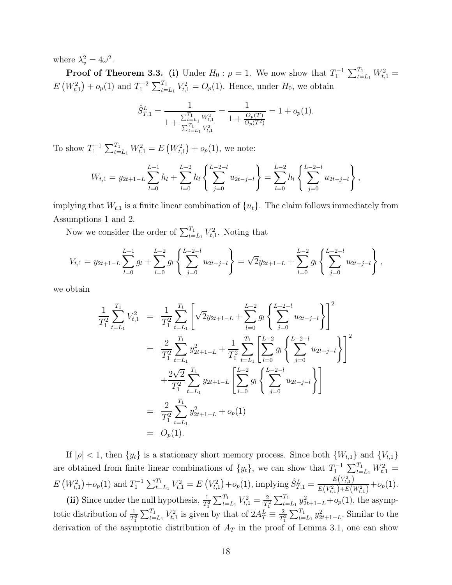where  $\lambda_v^2 = 4\omega^2$ .

**Proof of Theorem 3.3.** (i) Under  $H_0: \rho = 1$ . We now show that  $T_1^{-1} \sum_{t=L_1}^{T_1} W_{t,1}^2 =$  $E(W_{t,1}^2) + o_p(1)$  and  $T_1^{-2} \sum_{t=L_1}^{T_1} V_{t,1}^2 = O_p(1)$ . Hence, under  $H_0$ , we obtain

$$
\hat{S}_{T,1}^{L} = \frac{1}{1 + \frac{\sum_{t=L_1}^{T_1} W_{t,1}^2}{\sum_{t=L_1}^{T_1} V_{t,1}^2}} = \frac{1}{1 + \frac{O_p(T)}{O_p(T^2)}} = 1 + o_p(1).
$$

To show  $T_1^{-1} \sum_{t=L_1}^{T_1} W_{t,1}^2 = E(W_{t,1}^2) + o_p(1)$ , we note:

$$
W_{t,1} = y_{2t+1-L} \sum_{l=0}^{L-1} h_l + \sum_{l=0}^{L-2} h_l \left\{ \sum_{j=0}^{L-2-l} u_{2t-j-l} \right\} = \sum_{l=0}^{L-2} h_l \left\{ \sum_{j=0}^{L-2-l} u_{2t-j-l} \right\},
$$

implying that  $W_{t,1}$  is a finite linear combination of  $\{u_t\}$ . The claim follows immediately from Assumptions 1 and 2.

Now we consider the order of  $\sum_{t=L_1}^{T_1} V_{t,1}^2$ . Noting that

$$
V_{t,1} = y_{2t+1-L} \sum_{l=0}^{L-1} g_l + \sum_{l=0}^{L-2} g_l \left\{ \sum_{j=0}^{L-2-l} u_{2t-j-l} \right\} = \sqrt{2} y_{2t+1-L} + \sum_{l=0}^{L-2} g_l \left\{ \sum_{j=0}^{L-2-l} u_{2t-j-l} \right\},
$$

we obtain

$$
\frac{1}{T_1^2} \sum_{t=L_1}^{T_1} V_{t,1}^2 = \frac{1}{T_1^2} \sum_{t=L_1}^{T_1} \left[ \sqrt{2} y_{2t+1-L} + \sum_{l=0}^{L-2} g_l \left\{ \sum_{j=0}^{L-2-l} u_{2t-j-l} \right\} \right]^2
$$
\n
$$
= \frac{2}{T_1^2} \sum_{t=L_1}^{T_1} y_{2t+1-L}^2 + \frac{1}{T_1^2} \sum_{t=L_1}^{T_1} \left[ \sum_{l=0}^{L-2} g_l \left\{ \sum_{j=0}^{L-2-l} u_{2t-j-l} \right\} \right]^2
$$
\n
$$
+ \frac{2\sqrt{2}}{T_1^2} \sum_{t=L_1}^{T_1} y_{2t+1-L} \left[ \sum_{l=0}^{L-2} g_l \left\{ \sum_{j=0}^{L-2-l} u_{2t-j-l} \right\} \right]
$$
\n
$$
= \frac{2}{T_1^2} \sum_{t=L_1}^{T_1} y_{2t+1-L}^2 + o_p(1)
$$
\n
$$
= O_p(1).
$$

If  $|\rho| < 1$ , then  $\{y_t\}$  is a stationary short memory process. Since both  $\{W_{t,1}\}\$  and  $\{V_{t,1}\}\$ are obtained from finite linear combinations of  $\{y_t\}$ , we can show that  $T_1^{-1} \sum_{t=L_1}^{T_1} W_{t,1}^2 =$  $E\left(W_{t,1}^2\right)+o_p(1)$  and  $T_1^{-1}\sum_{t=L_1}^{T_1}V_{t,1}^2=E\left(V_{t,1}^2\right)+o_p(1)$ , implying  $\hat{S}_{T,1}^L=\frac{E\left(V_{t,1}^2\right)}{E\left(V_{t,1}^2\right)+E\left(V_{t,1}^2\right)}$  $\frac{E(V_{t,1})}{E(V_{t,1}^2)+E(W_{t,1}^2)}+o_p(1).$ 

(ii) Since under the null hypothesis,  $\frac{1}{T_1^2} \sum_{t=L_1}^{T_1} V_{t,1}^2 = \frac{2}{T_1^2} \sum_{t=L_1}^{T_1} y_{2t+1-L}^2 + o_p(1)$ , the asymptotic distribution of  $\frac{1}{T_1^2} \sum_{t=L_1}^{T_1} V_{t,1}^2$  is given by that of  $2A_T^L \equiv \frac{2}{T_1^2}$  $\frac{2}{T_1^2} \sum_{t=L_1}^{T_1} y_{2t+1-L}^2$ . Similar to the derivation of the asymptotic distribution of  $A_T$  in the proof of Lemma 3.1, one can show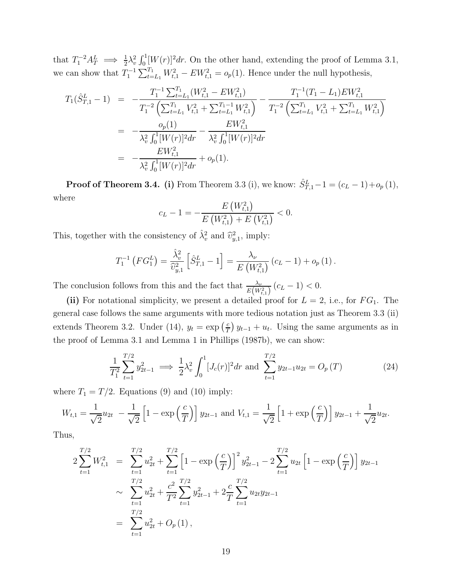that  $T_1^{-2}A_T^L \implies \frac{1}{2}\lambda_v^2\int_0^1 [W(r)]^2 dr$ . On the other hand, extending the proof of Lemma 3.1, we can show that  $T_1^{-1} \sum_{t=L_1}^{T_1} W_{t,1}^2 - EW_{t,1}^2 = o_p(1)$ . Hence under the null hypothesis,

$$
T_{1}(\hat{S}_{T,1}^{L}-1) = -\frac{T_{1}^{-1}\sum_{t=L_{1}}^{T_{1}}(W_{t,1}^{2}-EW_{t,1}^{2})}{T_{1}^{-2}\left(\sum_{t=L_{1}}^{T_{1}}V_{t,1}^{2}+\sum_{t=L_{1}}^{T_{1}-1}W_{t,1}^{2}\right)} - \frac{T_{1}^{-1}(T_{1}-L_{1})EW_{t,1}^{2}}{T_{1}^{-2}\left(\sum_{t=L_{1}}^{T_{1}}V_{t,1}^{2}+\sum_{t=L_{1}}^{T_{1}}W_{t,1}^{2}\right)}
$$
  
\n
$$
= -\frac{o_{p}(1)}{\lambda_{v}^{2}\int_{0}^{1}[W(r)]^{2}dr} - \frac{EW_{t,1}^{2}}{\lambda_{v}^{2}\int_{0}^{1}[W(r)]^{2}dr}
$$
  
\n
$$
= -\frac{EW_{t,1}^{2}}{\lambda_{v}^{2}\int_{0}^{1}[W(r)]^{2}dr} + o_{p}(1).
$$

**Proof of Theorem 3.4.** (i) From Theorem 3.3 (i), we know:  $\hat{S}_{T,1}^{L} - 1 = (c_{L} - 1) + o_{p}(1)$ , where

$$
c_L - 1 = -\frac{E\left(W_{t,1}^2\right)}{E\left(W_{t,1}^2\right) + E\left(V_{t,1}^2\right)} < 0.
$$

This, together with the consistency of  $\hat{\lambda}_v^2$  and  $\hat{\nu}_{y,1}^2$ , imply:

$$
T_1^{-1} \left( FG_1^L \right) = \frac{\hat{\lambda}_v^2}{\hat{v}_{y,1}^2} \left[ \hat{S}_{T,1}^L - 1 \right] = \frac{\lambda_v}{E \left( W_{t,1}^2 \right)} \left( c_L - 1 \right) + o_p \left( 1 \right).
$$

The conclusion follows from this and the fact that  $\frac{\lambda_{\nu}}{E(W_{t,1}^2)}$   $(c_L - 1) < 0$ .

(ii) For notational simplicity, we present a detailed proof for  $L = 2$ , i.e., for  $FG_1$ . The general case follows the same arguments with more tedious notation just as Theorem 3.3 (ii) extends Theorem 3.2. Under (14),  $y_t = \exp\left(\frac{c}{7}\right)$  $\frac{c}{T}$ )  $y_{t-1} + u_t$ . Using the same arguments as in the proof of Lemma 3.1 and Lemma 1 in Phillips (1987b), we can show:

$$
\frac{1}{T_1^2} \sum_{t=1}^{T/2} y_{2t-1}^2 \implies \frac{1}{2} \lambda_v^2 \int_0^1 [J_c(r)]^2 dr \text{ and } \sum_{t=1}^{T/2} y_{2t-1} u_{2t} = O_p(T) \tag{24}
$$

where  $T_1 = T/2$ . Equations (9) and (10) imply:

$$
W_{t,1} = \frac{1}{\sqrt{2}} u_{2t} - \frac{1}{\sqrt{2}} \left[ 1 - \exp\left(\frac{c}{T}\right) \right] y_{2t-1} \text{ and } V_{t,1} = \frac{1}{\sqrt{2}} \left[ 1 + \exp\left(\frac{c}{T}\right) \right] y_{2t-1} + \frac{1}{\sqrt{2}} u_{2t}.
$$

Thus,

$$
2\sum_{t=1}^{T/2} W_{t,1}^2 = \sum_{t=1}^{T/2} u_{2t}^2 + \sum_{t=1}^{T/2} \left[ 1 - \exp\left(\frac{c}{T}\right) \right]^2 y_{2t-1}^2 - 2\sum_{t=1}^{T/2} u_{2t} \left[ 1 - \exp\left(\frac{c}{T}\right) \right] y_{2t-1}
$$
  
 
$$
\sim \sum_{t=1}^{T/2} u_{2t}^2 + \frac{c^2}{T^2} \sum_{t=1}^{T/2} y_{2t-1}^2 + 2\frac{c}{T} \sum_{t=1}^{T/2} u_{2t} y_{2t-1}
$$
  
\n
$$
= \sum_{t=1}^{T/2} u_{2t}^2 + O_p(1),
$$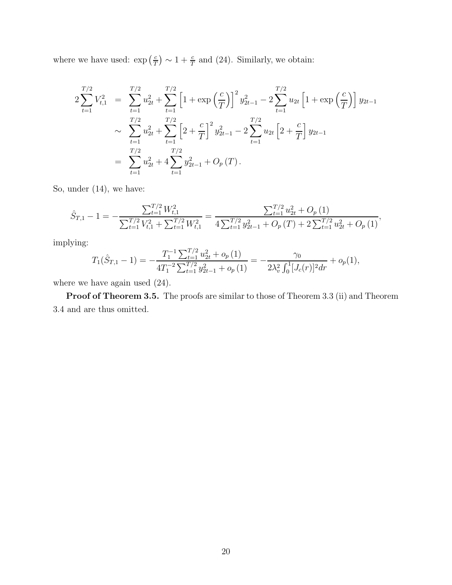where we have used:  $\exp\left(\frac{c}{7}\right)$  $(\frac{c}{T}) \sim 1 + \frac{c}{T}$  and (24). Similarly, we obtain:

$$
2\sum_{t=1}^{T/2} V_{t,1}^2 = \sum_{t=1}^{T/2} u_{2t}^2 + \sum_{t=1}^{T/2} \left[ 1 + \exp\left(\frac{c}{T}\right) \right]^2 y_{2t-1}^2 - 2\sum_{t=1}^{T/2} u_{2t} \left[ 1 + \exp\left(\frac{c}{T}\right) \right] y_{2t-1}
$$
  

$$
\sim \sum_{t=1}^{T/2} u_{2t}^2 + \sum_{t=1}^{T/2} \left[ 2 + \frac{c}{T} \right]^2 y_{2t-1}^2 - 2\sum_{t=1}^{T/2} u_{2t} \left[ 2 + \frac{c}{T} \right] y_{2t-1}
$$
  

$$
= \sum_{t=1}^{T/2} u_{2t}^2 + 4\sum_{t=1}^{T/2} y_{2t-1}^2 + O_p(T).
$$

So, under (14), we have:

$$
\hat{S}_{T,1} - 1 = -\frac{\sum_{t=1}^{T/2} W_{t,1}^2}{\sum_{t=1}^{T/2} V_{t,1}^2 + \sum_{t=1}^{T/2} W_{t,1}^2} = \frac{\sum_{t=1}^{T/2} u_{2t}^2 + O_p(1)}{4 \sum_{t=1}^{T/2} y_{2t-1}^2 + O_p(T) + 2 \sum_{t=1}^{T/2} u_{2t}^2 + O_p(1)},
$$

implying:

$$
T_1(\hat{S}_{T,1} - 1) = -\frac{T_1^{-1} \sum_{t=1}^{T/2} u_{2t}^2 + o_p(1)}{4T_1^{-2} \sum_{t=1}^{T/2} y_{2t-1}^2 + o_p(1)} = -\frac{\gamma_0}{2\lambda_v^2 \int_0^1 [J_c(r)]^2 dr} + o_p(1),
$$

where we have again used  $(24)$ .

Proof of Theorem 3.5. The proofs are similar to those of Theorem 3.3 (ii) and Theorem 3.4 and are thus omitted.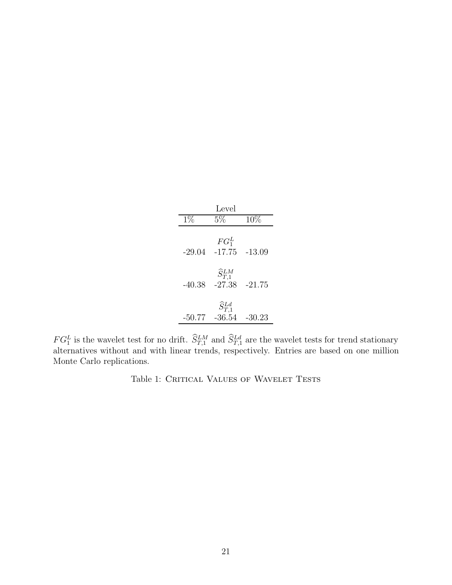| Level  |                                      |          |  |  |  |  |
|--------|--------------------------------------|----------|--|--|--|--|
| $1\%$  | 5%                                   | 10%      |  |  |  |  |
| -29.04 | $FG_1^L$<br>$-17.75$                 | -13.09   |  |  |  |  |
| -40.38 | $\widehat{S}^{LM}_{T,1}$<br>$-27.38$ | $-21.75$ |  |  |  |  |
| -50.77 | $\widehat{S}_{T,1}^{Ld}$<br>$-36.54$ | $-30.23$ |  |  |  |  |

 $FG_1^L$  is the wavelet test for no drift.  $\hat{S}_{T,1}^{LM}$  and  $\hat{S}_{T,1}^{Ld}$  are the wavelet tests for trend stationary alternatives without and with linear trends, respectively. Entries are based on one million Monte Carlo replications.

Table 1: CRITICAL VALUES OF WAVELET TESTS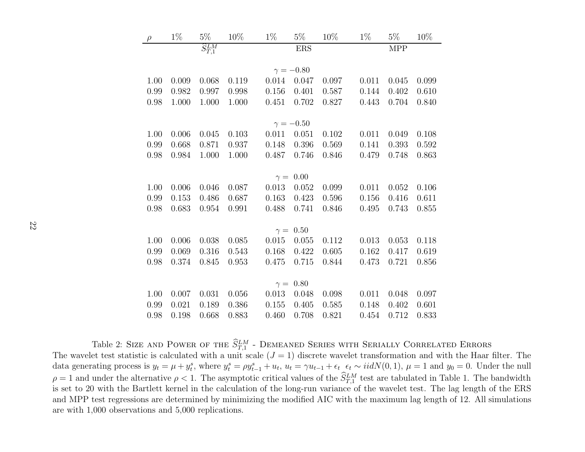| $\rho$           | $1\%$ | $5\%$                    | 10%   | $1\%$      | $5\%$            | 10%   | $1\%$ | $5\%$      | 10\%  |
|------------------|-------|--------------------------|-------|------------|------------------|-------|-------|------------|-------|
|                  |       | $\widehat{S}^{LM}_{T,1}$ |       |            | <b>ERS</b>       |       |       | <b>MPP</b> |       |
|                  |       |                          |       |            |                  |       |       |            |       |
| $\gamma = -0.80$ |       |                          |       |            |                  |       |       |            |       |
| 1.00             | 0.009 | 0.068                    | 0.119 | 0.014      | 0.047            | 0.097 | 0.011 | 0.045      | 0.099 |
| 0.99             | 0.982 | 0.997                    | 0.998 | 0.156      | 0.401            | 0.587 | 0.144 | 0.402      | 0.610 |
| 0.98             | 1.000 | 1.000                    | 1.000 | 0.451      | 0.702            | 0.827 | 0.443 | 0.704      | 0.840 |
|                  |       |                          |       |            |                  |       |       |            |       |
|                  |       |                          |       |            | $\gamma = -0.50$ |       |       |            |       |
| 1.00             | 0.006 | 0.045                    | 0.103 | 0.011      | 0.051            | 0.102 | 0.011 | 0.049      | 0.108 |
| 0.99             | 0.668 | 0.871                    | 0.937 | 0.148      | 0.396            | 0.569 | 0.141 | 0.393      | 0.592 |
| 0.98             | 0.984 | 1.000                    | 1.000 | 0.487      | 0.746            | 0.846 | 0.479 | 0.748      | 0.863 |
|                  |       |                          |       |            |                  |       |       |            |       |
|                  |       |                          |       | $\gamma =$ | 0.00             |       |       |            |       |
| 1.00             | 0.006 | 0.046                    | 0.087 | 0.013      | 0.052            | 0.099 | 0.011 | 0.052      | 0.106 |
| 0.99             | 0.153 | 0.486                    | 0.687 | 0.163      | 0.423            | 0.596 | 0.156 | 0.416      | 0.611 |
| 0.98             | 0.683 | 0.954                    | 0.991 | 0.488      | 0.741            | 0.846 | 0.495 | 0.743      | 0.855 |
|                  |       |                          |       |            |                  |       |       |            |       |
|                  |       |                          |       |            | $\gamma = 0.50$  |       |       |            |       |
| 1.00             | 0.006 | 0.038                    | 0.085 | 0.015      | 0.055            | 0.112 | 0.013 | 0.053      | 0.118 |
| 0.99             | 0.069 | 0.316                    | 0.543 | 0.168      | 0.422            | 0.605 | 0.162 | 0.417      | 0.619 |
| 0.98             | 0.374 | 0.845                    | 0.953 | 0.475      | 0.715            | 0.844 | 0.473 | 0.721      | 0.856 |
|                  |       |                          |       |            |                  |       |       |            |       |
|                  |       |                          |       | $\gamma =$ | 0.80             |       |       |            |       |
| 1.00             | 0.007 | 0.031                    | 0.056 | 0.013      | 0.048            | 0.098 | 0.011 | 0.048      | 0.097 |
| 0.99             | 0.021 | 0.189                    | 0.386 | 0.155      | 0.405            | 0.585 | 0.148 | $0.402\,$  | 0.601 |
| 0.98             | 0.198 | 0.668                    | 0.883 | 0.460      | 0.708            | 0.821 | 0.454 | 0.712      | 0.833 |

Table 2: SIZE AND POWER OF THE  $\widehat{S}_{T,1}^{LM}$  - DEMEANED SERIES WITH SERIALLY CORRELATED ERRORS The wavelet test statistic is calculated with a unit scale  $(J = 1)$  discrete wavelet transformation and with the Haar filter. The data generating process is  $y_t = \mu + y_t^s$ , where  $y_t^s = \rho y_{t-1}^s + u_t$ ,  $u_t = \gamma u_{t-1} + \epsilon_t \epsilon_t \sim \textit{iidN}(0, 1)$ ,  $\mu = 1$  and  $y_0 = 0$ . Under the null  $\rho = 1$  and under the alternative  $\rho < 1$ . The asymptotic critical values of the  $S_{T,1}^{LM}$  test are tabulated in Table 1. The bandwidth is set to 20 with the Bartlett kernel in the calculation of the long-run variance of the wavelet test. The lag length of the ERS and MPP test regressions are determined by minimizing the modified AIC with the maximum lag length of 12. All simulations are with 1,000 observations and 5,000 replications.

22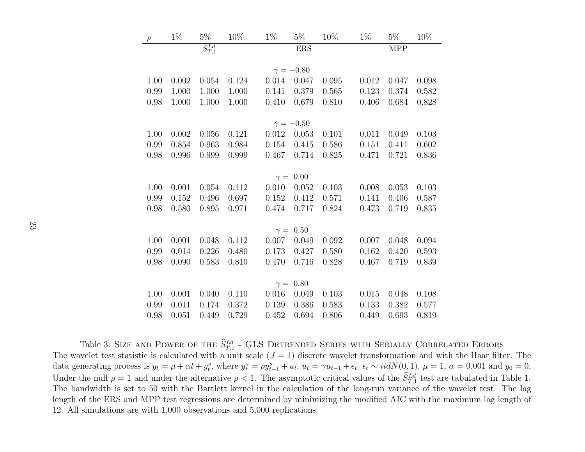| $\rho$           | $1\%$ | $5\%$                    | 10\%  | $1\%$      | $5\%$            | 10%       | $1\%$ | $5\%$      | 10%   |
|------------------|-------|--------------------------|-------|------------|------------------|-----------|-------|------------|-------|
|                  |       | $\widehat{S}^{Ld}_{T,1}$ |       |            | <b>ERS</b>       |           |       | <b>MPP</b> |       |
|                  |       |                          |       |            |                  |           |       |            |       |
| $\gamma = -0.80$ |       |                          |       |            |                  |           |       |            |       |
| 1.00             | 0.002 | 0.054                    | 0.124 | 0.014      | 0.047            | 0.095     | 0.012 | 0.047      | 0.098 |
| 0.99             | 1.000 | 1.000                    | 1.000 | 0.141      | 0.379            | 0.565     | 0.123 | 0.374      | 0.582 |
| 0.98             | 1.000 | 1.000                    | 1.000 | 0.410      | 0.679            | 0.810     | 0.406 | 0.684      | 0.828 |
|                  |       |                          |       |            |                  |           |       |            |       |
|                  |       |                          |       |            | $\gamma = -0.50$ |           |       |            |       |
| 1.00             | 0.002 | 0.056                    | 0.121 | 0.012      | 0.053            | 0.101     | 0.011 | 0.049      | 0.103 |
| 0.99             | 0.854 | 0.963                    | 0.984 | 0.154      | 0.415            | 0.586     | 0.151 | 0.411      | 0.602 |
| 0.98             | 0.996 | 0.999                    | 0.999 | 0.467      | 0.714            | 0.825     | 0.471 | 0.721      | 0.836 |
|                  |       |                          |       |            |                  |           |       |            |       |
|                  |       |                          |       | $\gamma =$ | 0.00             |           |       |            |       |
| 1.00             | 0.001 | 0.054                    | 0.112 | 0.010      | 0.052            | 0.103     | 0.008 | 0.053      | 0.103 |
| 0.99             | 0.152 | 0.496                    | 0.697 | 0.152      | 0.412            | $0.571\,$ | 0.141 | 0.406      | 0.587 |
| 0.98             | 0.580 | 0.895                    | 0.971 | 0.474      | 0.717            | 0.824     | 0.473 | 0.719      | 0.835 |
|                  |       |                          |       |            |                  |           |       |            |       |
| $\gamma = 0.50$  |       |                          |       |            |                  |           |       |            |       |
| 1.00             | 0.001 | 0.048                    | 0.112 | 0.007      | 0.049            | 0.092     | 0.007 | 0.048      | 0.094 |
| 0.99             | 0.014 | 0.226                    | 0.480 | 0.173      | 0.427            | 0.580     | 0.162 | 0.420      | 0.593 |
| 0.98             | 0.090 | 0.583                    | 0.810 | 0.470      | 0.716            | 0.828     | 0.467 | 0.719      | 0.839 |
|                  |       |                          |       |            |                  |           |       |            |       |
|                  |       |                          |       | $\gamma =$ | 0.80             |           |       |            |       |
| 1.00             | 0.001 | 0.040                    | 0.110 | 0.016      | 0.049            | 0.103     | 0.015 | 0.048      | 0.108 |
| 0.99             | 0.011 | 0.174                    | 0.372 | 0.139      | 0.386            | 0.583     | 0.133 | 0.382      | 0.577 |
| 0.98             | 0.051 | 0.449                    | 0.729 | 0.452      | 0.694            | 0.806     | 0.449 | 0.693      | 0.819 |

Table 3: SIZE AND POWER OF THE  $\widehat{S}_{T,1}^{Ld}$  - GLS DETRENDED SERIES WITH SERIALLY CORRELATED ERRORS The wavelet test statistic is calculated with a unit scale  $(J = 1)$  discrete wavelet transformation and with the Haar filter. The data generating process is  $y_t = \mu + \alpha t + y_t^s$ , where  $y_t^s = \rho y_{t-1}^s + u_t$ ,  $u_t = \gamma u_{t-1} + \epsilon_t \ \epsilon_t \sim \text{iidN}(0, 1)$ ,  $\mu = 1$ ,  $\alpha = 0.001$  and  $y_0 = 0$ . Under the null  $\rho = 1$  and under the alternative  $\rho < 1$ . The asymptotic critical values of the  $S_{T,1}^{Ld}$  test are tabulated in Table 1. The bandwidth is set to 50 with the Bartlett kernel in the calculation of the long-run variance of the wavelet test. The lag length of the ERS and MPP test regressions are determined by minimizing the modified AIC with the maximum lag length of 12. All simulations are with 1,000 observations and 5,000 replications.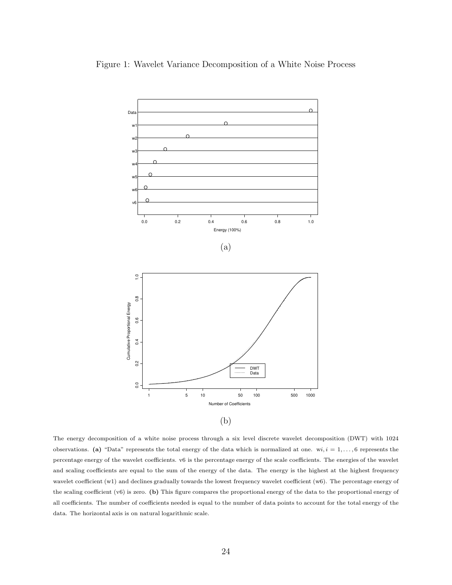



The energy decomposition of a white noise process through a six level discrete wavelet decomposition (DWT) with 1024 observations. (a) "Data" represents the total energy of the data which is normalized at one. wi,  $i = 1, \ldots, 6$  represents the percentage energy of the wavelet coefficients. v6 is the percentage energy of the scale coefficients. The energies of the wavelet and scaling coefficients are equal to the sum of the energy of the data. The energy is the highest at the highest frequency wavelet coefficient (w1) and declines gradually towards the lowest frequency wavelet coefficient (w6). The percentage energy of the scaling coefficient (v6) is zero. (b) This figure compares the proportional energy of the data to the proportional energy of all coefficients. The number of coefficients needed is equal to the number of data points to account for the total energy of the data. The horizontal axis is on natural logarithmic scale.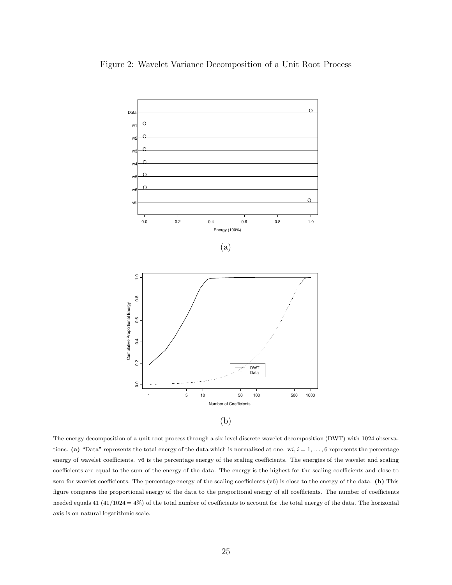



The energy decomposition of a unit root process through a six level discrete wavelet decomposition (DWT) with 1024 observations. (a) "Data" represents the total energy of the data which is normalized at one. wi,  $i = 1, \ldots, 6$  represents the percentage energy of wavelet coefficients. v6 is the percentage energy of the scaling coefficients. The energies of the wavelet and scaling coefficients are equal to the sum of the energy of the data. The energy is the highest for the scaling coefficients and close to zero for wavelet coefficients. The percentage energy of the scaling coefficients  $(v6)$  is close to the energy of the data. (b) This figure compares the proportional energy of the data to the proportional energy of all coefficients. The number of coefficients needed equals 41 (41/1024 =  $4\%$ ) of the total number of coefficients to account for the total energy of the data. The horizontal axis is on natural logarithmic scale.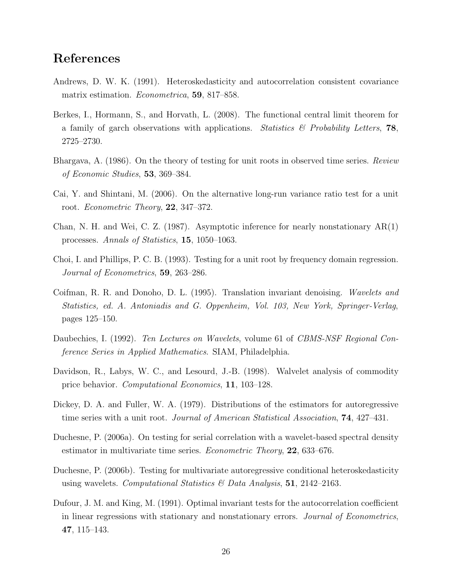### References

- Andrews, D. W. K. (1991). Heteroskedasticity and autocorrelation consistent covariance matrix estimation. *Econometrica*, 59, 817–858.
- Berkes, I., Hormann, S., and Horvath, L. (2008). The functional central limit theorem for a family of garch observations with applications. *Statistics & Probability Letters*, 78, 2725–2730.
- Bhargava, A. (1986). On the theory of testing for unit roots in observed time series. *Review of Economic Studies*, 53, 369–384.
- Cai, Y. and Shintani, M. (2006). On the alternative long-run variance ratio test for a unit root. *Econometric Theory*, 22, 347–372.
- Chan, N. H. and Wei, C. Z. (1987). Asymptotic inference for nearly nonstationary  $AR(1)$ processes. *Annals of Statistics*, 15, 1050–1063.
- Choi, I. and Phillips, P. C. B. (1993). Testing for a unit root by frequency domain regression. *Journal of Econometrics*, 59, 263–286.
- Coifman, R. R. and Donoho, D. L. (1995). Translation invariant denoising. *Wavelets and Statistics, ed. A. Antoniadis and G. Oppenheim, Vol. 103, New York, Springer-Verlag*, pages 125–150.
- Daubechies, I. (1992). *Ten Lectures on Wavelets*, volume 61 of *CBMS-NSF Regional Conference Series in Applied Mathematics*. SIAM, Philadelphia.
- Davidson, R., Labys, W. C., and Lesourd, J.-B. (1998). Walvelet analysis of commodity price behavior. *Computational Economics*, 11, 103–128.
- Dickey, D. A. and Fuller, W. A. (1979). Distributions of the estimators for autoregressive time series with a unit root. *Journal of American Statistical Association*, 74, 427–431.
- Duchesne, P. (2006a). On testing for serial correlation with a wavelet-based spectral density estimator in multivariate time series. *Econometric Theory*, 22, 633–676.
- Duchesne, P. (2006b). Testing for multivariate autoregressive conditional heteroskedasticity using wavelets. *Computational Statistics & Data Analysis*, 51, 2142–2163.
- Dufour, J. M. and King, M. (1991). Optimal invariant tests for the autocorrelation coefficient in linear regressions with stationary and nonstationary errors. *Journal of Econometrics*, 47, 115–143.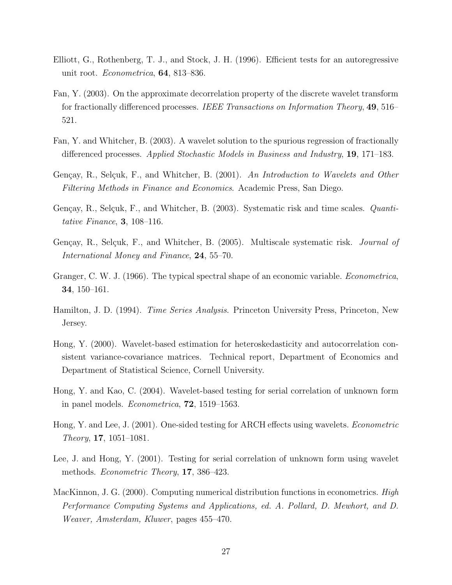- Elliott, G., Rothenberg, T. J., and Stock, J. H. (1996). Efficient tests for an autoregressive unit root. *Econometrica*, 64, 813–836.
- Fan, Y. (2003). On the approximate decorrelation property of the discrete wavelet transform for fractionally differenced processes. *IEEE Transactions on Information Theory*, 49, 516– 521.
- Fan, Y. and Whitcher, B. (2003). A wavelet solution to the spurious regression of fractionally differenced processes. *Applied Stochastic Models in Business and Industry*, 19, 171–183.
- Gençay, R., Selçuk, F., and Whitcher, B. (2001). An Introduction to Wavelets and Other *Filtering Methods in Finance and Economics*. Academic Press, San Diego.
- Gençay, R., Selçuk, F., and Whitcher, B. (2003). Systematic risk and time scales. *Quantitative Finance*, 3, 108–116.
- Gençay, R., Selçuk, F., and Whitcher, B. (2005). Multiscale systematic risk. *Journal of International Money and Finance*, 24, 55–70.
- Granger, C. W. J. (1966). The typical spectral shape of an economic variable. *Econometrica*, 34, 150–161.
- Hamilton, J. D. (1994). *Time Series Analysis*. Princeton University Press, Princeton, New Jersey.
- Hong, Y. (2000). Wavelet-based estimation for heteroskedasticity and autocorrelation consistent variance-covariance matrices. Technical report, Department of Economics and Department of Statistical Science, Cornell University.
- Hong, Y. and Kao, C. (2004). Wavelet-based testing for serial correlation of unknown form in panel models. *Econometrica*, 72, 1519–1563.
- Hong, Y. and Lee, J. (2001). One-sided testing for ARCH effects using wavelets. *Econometric Theory*, 17, 1051–1081.
- Lee, J. and Hong, Y. (2001). Testing for serial correlation of unknown form using wavelet methods. *Econometric Theory*, 17, 386–423.
- MacKinnon, J. G. (2000). Computing numerical distribution functions in econometrics. *High Performance Computing Systems and Applications, ed. A. Pollard, D. Mewhort, and D. Weaver, Amsterdam, Kluwer*, pages 455–470.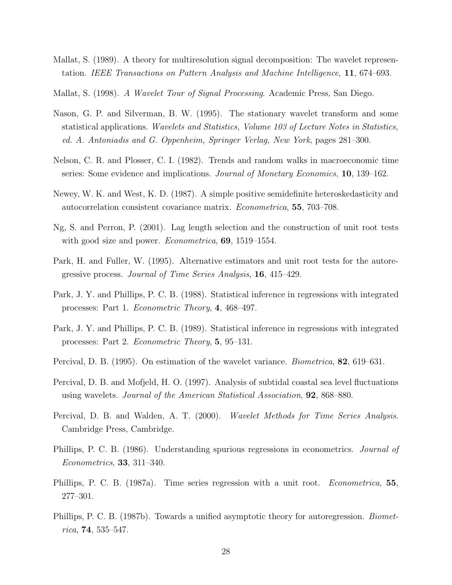- Mallat, S. (1989). A theory for multiresolution signal decomposition: The wavelet representation. *IEEE Transactions on Pattern Analysis and Machine Intelligence*, 11, 674–693.
- Mallat, S. (1998). *A Wavelet Tour of Signal Processing*. Academic Press, San Diego.
- Nason, G. P. and Silverman, B. W. (1995). The stationary wavelet transform and some statistical applications. *Wavelets and Statistics, Volume 103 of Lecture Notes in Statistics, ed. A. Antoniadis and G. Oppenheim, Springer Verlag, New York*, pages 281–300.
- Nelson, C. R. and Plosser, C. I. (1982). Trends and random walks in macroeconomic time series: Some evidence and implications. *Journal of Monetary Economics*, 10, 139–162.
- Newey, W. K. and West, K. D. (1987). A simple positive semidefinite heteroskedasticity and autocorrelation consistent covariance matrix. *Econometrica*, 55, 703–708.
- Ng, S. and Perron, P. (2001). Lag length selection and the construction of unit root tests with good size and power. *Econometrica*, 69, 1519–1554.
- Park, H. and Fuller, W. (1995). Alternative estimators and unit root tests for the autoregressive process. *Journal of Time Series Analysis*, 16, 415–429.
- Park, J. Y. and Phillips, P. C. B. (1988). Statistical inference in regressions with integrated processes: Part 1. *Econometric Theory*, 4, 468–497.
- Park, J. Y. and Phillips, P. C. B. (1989). Statistical inference in regressions with integrated processes: Part 2. *Econometric Theory*, 5, 95–131.
- Percival, D. B. (1995). On estimation of the wavelet variance. *Biometrica*, 82, 619–631.
- Percival, D. B. and Mofjeld, H. O. (1997). Analysis of subtidal coastal sea level fluctuations using wavelets. *Journal of the American Statistical Association*, 92, 868–880.
- Percival, D. B. and Walden, A. T. (2000). *Wavelet Methods for Time Series Analysis*. Cambridge Press, Cambridge.
- Phillips, P. C. B. (1986). Understanding spurious regressions in econometrics. *Journal of Econometrics*, 33, 311–340.
- Phillips, P. C. B. (1987a). Time series regression with a unit root. *Econometrica*, 55, 277–301.
- Phillips, P. C. B. (1987b). Towards a unified asymptotic theory for autoregression. *Biometrica*, 74, 535–547.